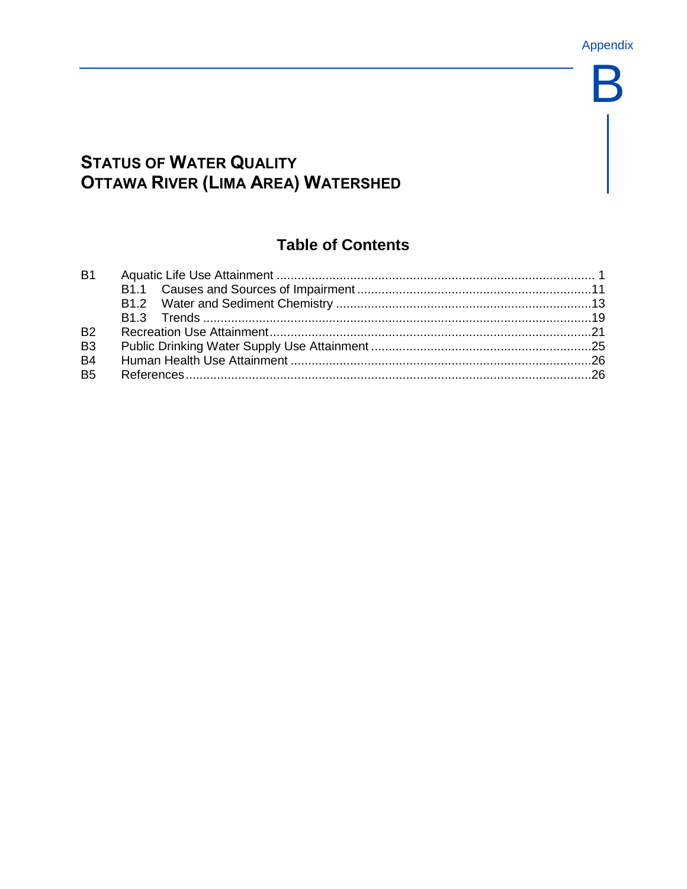B

# **STATUS OF WATER QUALITY OTTAWA RIVER (LIMA AREA) WATERSHED**

# **Table of Contents**

| <b>B1</b>            |  |
|----------------------|--|
|                      |  |
|                      |  |
|                      |  |
| <b>B2</b>            |  |
| B <sub>3</sub>       |  |
| <b>B4</b>            |  |
| <b>B<sub>5</sub></b> |  |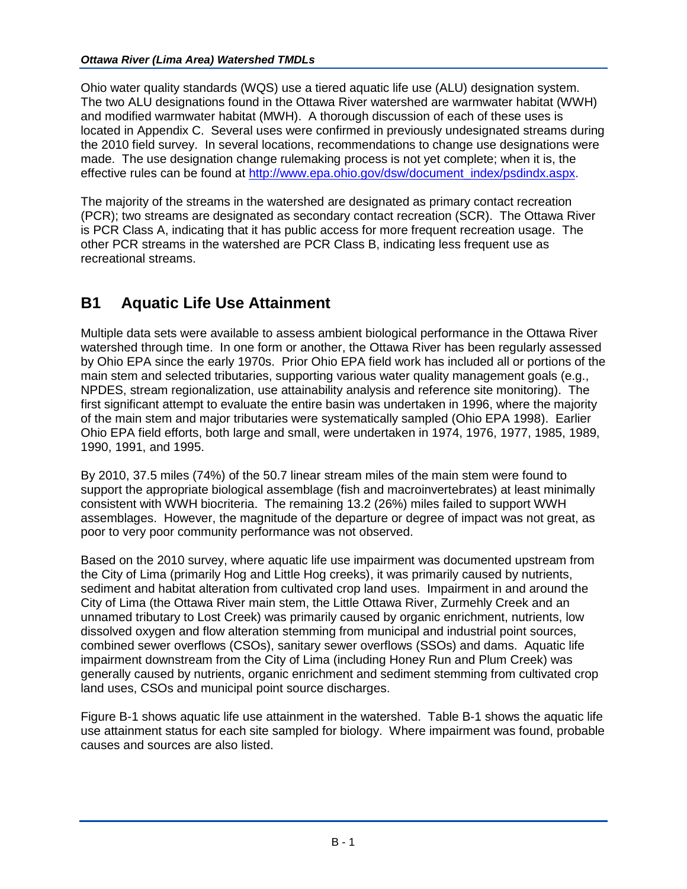Ohio water quality standards (WQS) use a tiered aquatic life use (ALU) designation system. The two ALU designations found in the Ottawa River watershed are warmwater habitat (WWH) and modified warmwater habitat (MWH). A thorough discussion of each of these uses is located in Appendix C. Several uses were confirmed in previously undesignated streams during the 2010 field survey. In several locations, recommendations to change use designations were made. The use designation change rulemaking process is not yet complete; when it is, the effective rules can be found at [http://www.epa.ohio.gov/dsw/document\\_index/psdindx.aspx.](http://www.epa.ohio.gov/dsw/document_index/psdindx.aspx)

The majority of the streams in the watershed are designated as primary contact recreation (PCR); two streams are designated as secondary contact recreation (SCR). The Ottawa River is PCR Class A, indicating that it has public access for more frequent recreation usage. The other PCR streams in the watershed are PCR Class B, indicating less frequent use as recreational streams.

# **B1 Aquatic Life Use Attainment**

Multiple data sets were available to assess ambient biological performance in the Ottawa River watershed through time. In one form or another, the Ottawa River has been regularly assessed by Ohio EPA since the early 1970s. Prior Ohio EPA field work has included all or portions of the main stem and selected tributaries, supporting various water quality management goals (e.g., NPDES, stream regionalization, use attainability analysis and reference site monitoring). The first significant attempt to evaluate the entire basin was undertaken in 1996, where the majority of the main stem and major tributaries were systematically sampled (Ohio EPA 1998). Earlier Ohio EPA field efforts, both large and small, were undertaken in 1974, 1976, 1977, 1985, 1989, 1990, 1991, and 1995.

By 2010, 37.5 miles (74%) of the 50.7 linear stream miles of the main stem were found to support the appropriate biological assemblage (fish and macroinvertebrates) at least minimally consistent with WWH biocriteria. The remaining 13.2 (26%) miles failed to support WWH assemblages. However, the magnitude of the departure or degree of impact was not great, as poor to very poor community performance was not observed.

Based on the 2010 survey, where aquatic life use impairment was documented upstream from the City of Lima (primarily Hog and Little Hog creeks), it was primarily caused by nutrients, sediment and habitat alteration from cultivated crop land uses. Impairment in and around the City of Lima (the Ottawa River main stem, the Little Ottawa River, Zurmehly Creek and an unnamed tributary to Lost Creek) was primarily caused by organic enrichment, nutrients, low dissolved oxygen and flow alteration stemming from municipal and industrial point sources, combined sewer overflows (CSOs), sanitary sewer overflows (SSOs) and dams. Aquatic life impairment downstream from the City of Lima (including Honey Run and Plum Creek) was generally caused by nutrients, organic enrichment and sediment stemming from cultivated crop land uses, CSOs and municipal point source discharges.

Figure B-1 shows aquatic life use attainment in the watershed. Table B-1 shows the aquatic life use attainment status for each site sampled for biology. Where impairment was found, probable causes and sources are also listed.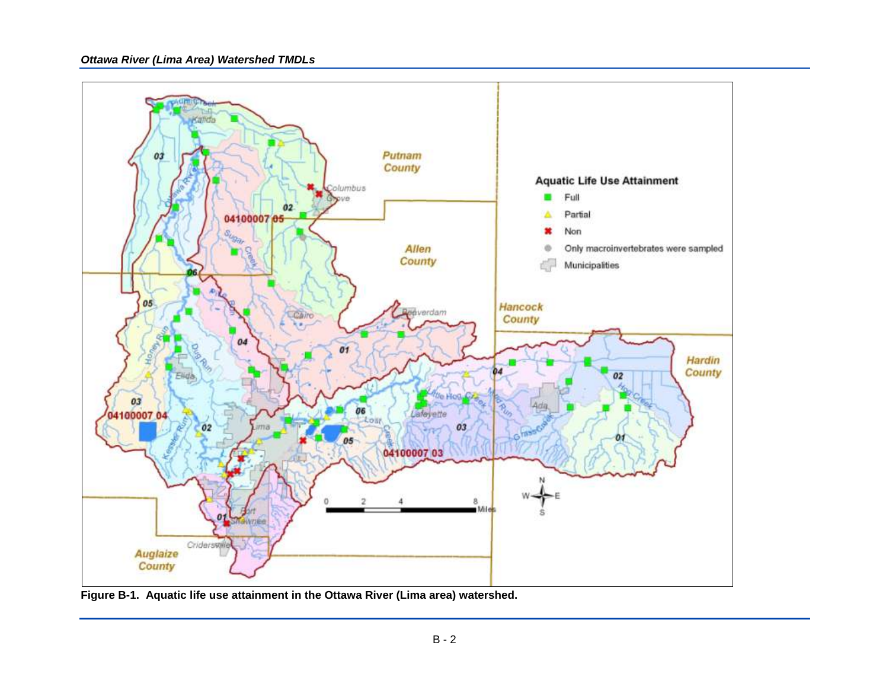



**Figure B-1. Aquatic life use attainment in the Ottawa River (Lima area) watershed.**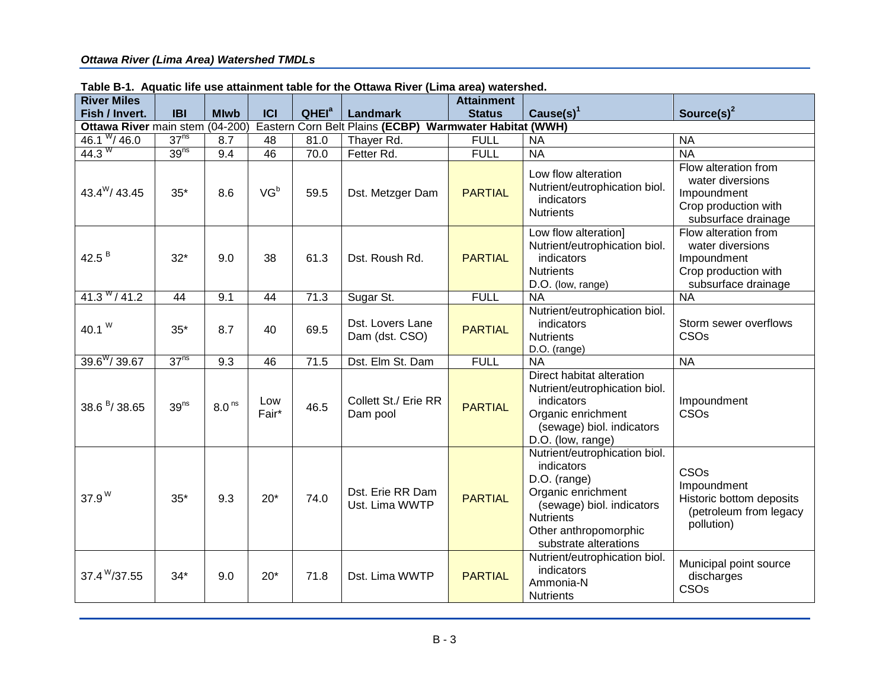|                                      |                  |                   |              |                   | rabic D-1. Aquativ me use attainment table for the Ottawa Kiver (Linia area) watershed. |                                    |                                                                                                                                                                                      |                                                                                                        |  |  |  |
|--------------------------------------|------------------|-------------------|--------------|-------------------|-----------------------------------------------------------------------------------------|------------------------------------|--------------------------------------------------------------------------------------------------------------------------------------------------------------------------------------|--------------------------------------------------------------------------------------------------------|--|--|--|
| <b>River Miles</b><br>Fish / Invert. | <b>IBI</b>       | <b>Mlwb</b>       | <b>ICI</b>   | QHEI <sup>a</sup> | Landmark                                                                                | <b>Attainment</b><br><b>Status</b> | Cause(s) $1$                                                                                                                                                                         | Source(s) $2$                                                                                          |  |  |  |
| Ottawa River main stem               |                  | $(04-200)$        |              |                   | Eastern Corn Belt Plains (ECBP)<br><b>Warmwater Habitat (WWH)</b>                       |                                    |                                                                                                                                                                                      |                                                                                                        |  |  |  |
| 46.1 $\frac{W}{46.0}$                | 37 <sup>ns</sup> | 8.7               | 48           | 81.0              | Thayer Rd.                                                                              | <b>FULL</b>                        | <b>NA</b>                                                                                                                                                                            | <b>NA</b>                                                                                              |  |  |  |
| 44.3 $W$                             | 39 <sup>ns</sup> | 9.4               | 46           | 70.0              | Fetter Rd.                                                                              | <b>FULL</b>                        | <b>NA</b>                                                                                                                                                                            | <b>NA</b>                                                                                              |  |  |  |
| $43.4^{\rm W}$ / 43.45               | $35*$            | 8.6               | $VG^b$       | 59.5              | Dst. Metzger Dam                                                                        | <b>PARTIAL</b>                     | Low flow alteration<br>Nutrient/eutrophication biol.<br>indicators<br><b>Nutrients</b>                                                                                               | Flow alteration from<br>water diversions<br>Impoundment<br>Crop production with<br>subsurface drainage |  |  |  |
| 42.5 $B$                             | $32*$            | 9.0               | 38           | 61.3              | <b>PARTIAL</b><br>Dst. Roush Rd.                                                        |                                    | Low flow alteration]<br>Nutrient/eutrophication biol.<br>indicators<br><b>Nutrients</b><br>D.O. (low, range)                                                                         | Flow alteration from<br>water diversions<br>Impoundment<br>Crop production with<br>subsurface drainage |  |  |  |
| $41.3$ $^{W}/41.2$                   | 44               | 9.1               | 44           | 71.3              | <b>FULL</b><br>Sugar St.<br><b>NA</b>                                                   |                                    |                                                                                                                                                                                      | <b>NA</b>                                                                                              |  |  |  |
| 40.1 $W$                             | $35*$            | 8.7               | 40           | 69.5              | Dst. Lovers Lane<br>Dam (dst. CSO)                                                      | <b>PARTIAL</b>                     | Nutrient/eutrophication biol.<br>indicators<br><b>Nutrients</b><br>D.O. (range)                                                                                                      | Storm sewer overflows<br>CSOs                                                                          |  |  |  |
| $39.6$ <sup>W</sup> /39.67           | 37 <sup>ns</sup> | 9.3               | 46           | 71.5              | Dst. Elm St. Dam                                                                        | <b>FULL</b>                        | <b>NA</b>                                                                                                                                                                            | <b>NA</b>                                                                                              |  |  |  |
| $38.6^{B}$ / 38.65                   | 39 <sup>ns</sup> | 8.0 <sup>ns</sup> | Low<br>Fair* | 46.5              | Collett St./ Erie RR<br>Dam pool                                                        | <b>PARTIAL</b>                     | Direct habitat alteration<br>Nutrient/eutrophication biol.<br>indicators<br>Organic enrichment<br>(sewage) biol. indicators<br>D.O. (low, range)                                     | Impoundment<br>CSOs                                                                                    |  |  |  |
| $37.9W$                              | $35*$            | 9.3               | $20*$        | 74.0              | Dst. Erie RR Dam<br>Ust. Lima WWTP                                                      | <b>PARTIAL</b>                     | Nutrient/eutrophication biol.<br>indicators<br>D.O. (range)<br>Organic enrichment<br>(sewage) biol. indicators<br><b>Nutrients</b><br>Other anthropomorphic<br>substrate alterations | CSO <sub>s</sub><br>Impoundment<br>Historic bottom deposits<br>(petroleum from legacy<br>pollution)    |  |  |  |
| $37.4$ <sup>W</sup> /37.55           | $34*$            | 9.0               | $20*$        | 71.8              | Dst. Lima WWTP                                                                          | <b>PARTIAL</b>                     | Nutrient/eutrophication biol.<br>indicators<br>Ammonia-N<br><b>Nutrients</b>                                                                                                         | Municipal point source<br>discharges<br>CSOs                                                           |  |  |  |

| Table B-1. Aquatic life use attainment table for the Ottawa River (Lima area) watershed. |  |
|------------------------------------------------------------------------------------------|--|
|------------------------------------------------------------------------------------------|--|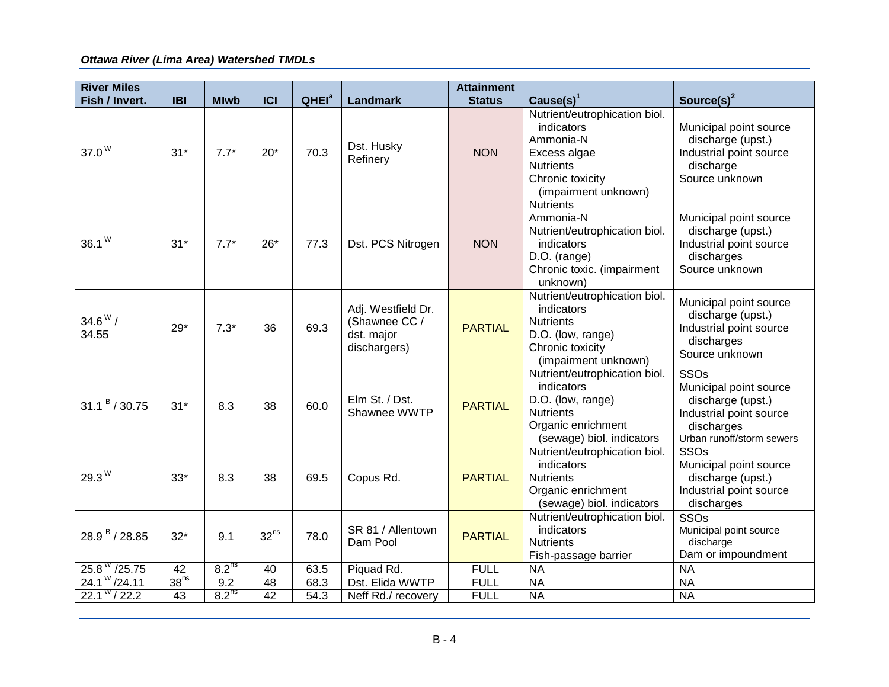| <b>River Miles</b>         |                  |                   |                  |                          |                                                                   | <b>Attainment</b> |                                                                                                                                          |                                                                                                                           |
|----------------------------|------------------|-------------------|------------------|--------------------------|-------------------------------------------------------------------|-------------------|------------------------------------------------------------------------------------------------------------------------------------------|---------------------------------------------------------------------------------------------------------------------------|
| Fish / Invert.             | <b>IBI</b>       | <b>Mlwb</b>       | ICI              | <b>QHEI</b> <sup>a</sup> | Landmark                                                          | <b>Status</b>     | Cause $(s)^1$                                                                                                                            | Source(s) <sup>2</sup>                                                                                                    |
| 37.0 <sup>W</sup>          | $31*$            | $7.7*$            | $20*$            | 70.3                     | Dst. Husky<br>Refinery                                            | <b>NON</b>        | Nutrient/eutrophication biol.<br>indicators<br>Ammonia-N<br>Excess algae<br><b>Nutrients</b><br>Chronic toxicity<br>(impairment unknown) | Municipal point source<br>discharge (upst.)<br>Industrial point source<br>discharge<br>Source unknown                     |
| $36.1W$                    | $31*$            | $7.7*$            | $26*$            | 77.3                     | Dst. PCS Nitrogen                                                 | <b>NON</b>        | <b>Nutrients</b><br>Ammonia-N<br>Nutrient/eutrophication biol.<br>indicators<br>D.O. (range)<br>Chronic toxic. (impairment<br>unknown)   | Municipal point source<br>discharge (upst.)<br>Industrial point source<br>discharges<br>Source unknown                    |
| $34.6^{\rm W}$ /<br>34.55  | 29*              | $7.3*$            | 36               | 69.3                     | Adj. Westfield Dr.<br>(Shawnee CC /<br>dst. major<br>dischargers) | <b>PARTIAL</b>    | Nutrient/eutrophication biol.<br>indicators<br><b>Nutrients</b><br>D.O. (low, range)<br>Chronic toxicity<br>(impairment unknown)         | Municipal point source<br>discharge (upst.)<br>Industrial point source<br>discharges<br>Source unknown                    |
| 31.1 <sup>B</sup> / 30.75  | $31*$            | 8.3               | 38               | 60.0                     | Elm St. / Dst.<br>Shawnee WWTP                                    | <b>PARTIAL</b>    | Nutrient/eutrophication biol.<br>indicators<br>D.O. (low, range)<br><b>Nutrients</b><br>Organic enrichment<br>(sewage) biol. indicators  | SSOs<br>Municipal point source<br>discharge (upst.)<br>Industrial point source<br>discharges<br>Urban runoff/storm sewers |
| 29.3 <sup>W</sup>          | $33*$            | 8.3               | 38               | 69.5                     | Copus Rd.<br><b>PARTIAL</b>                                       |                   | Nutrient/eutrophication biol.<br>indicators<br><b>Nutrients</b><br>Organic enrichment<br>(sewage) biol. indicators                       | SSOs<br>Municipal point source<br>discharge (upst.)<br>Industrial point source<br>discharges                              |
| $28.9B$ / 28.85            | $32*$            | 9.1               | 32 <sup>ns</sup> | 78.0                     | SR 81 / Allentown<br>Dam Pool                                     | <b>PARTIAL</b>    | Nutrient/eutrophication biol.<br>indicators<br><b>Nutrients</b><br>Fish-passage barrier                                                  | SSOs<br>Municipal point source<br>discharge<br>Dam or impoundment                                                         |
| $25.8$ $\frac{W}{25.75}$   | $\overline{42}$  | 8.2 <sup>ns</sup> | 40               | 63.5                     | Piquad Rd.                                                        | <b>FULL</b>       | <b>NA</b>                                                                                                                                | <b>NA</b>                                                                                                                 |
| $24.1$ $W/24.11$           | 38 <sup>ns</sup> | 9.2               | $\overline{48}$  | 68.3                     | Dst. Elida WWTP                                                   | <b>FULL</b>       | <b>NA</b>                                                                                                                                | <b>NA</b>                                                                                                                 |
| $22.1^{\mathrm{W}}$ / 22.2 | 43               | 8.2 <sup>ns</sup> | $\overline{42}$  | 54.3                     | Neff Rd./ recovery                                                | <b>FULL</b>       | <b>NA</b>                                                                                                                                | <b>NA</b>                                                                                                                 |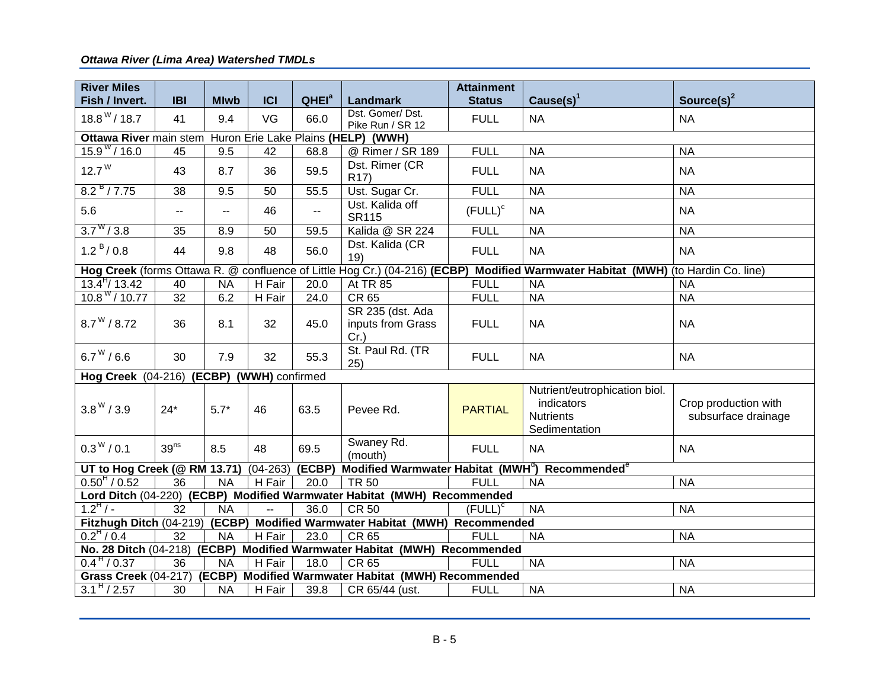| <b>River Miles</b>                        |                          |             |                         |                   |                                                                           | <b>Attainment</b> |                                                                                                                                  |                                             |
|-------------------------------------------|--------------------------|-------------|-------------------------|-------------------|---------------------------------------------------------------------------|-------------------|----------------------------------------------------------------------------------------------------------------------------------|---------------------------------------------|
| Fish / Invert.                            | <b>IBI</b>               | <b>Mlwb</b> | <b>ICI</b>              | QHEI <sup>a</sup> | <b>Landmark</b>                                                           | <b>Status</b>     | Cause $(s)$ <sup>1</sup>                                                                                                         | Source(s) $2$                               |
| $18.8^{\mathrm{W}}$ / 18.7                | 41                       | 9.4         | VG                      | 66.0              | Dst. Gomer/Dst.<br>Pike Run / SR 12                                       | <b>FULL</b>       | <b>NA</b>                                                                                                                        | <b>NA</b>                                   |
| Ottawa River main stem                    |                          |             |                         |                   | Huron Erie Lake Plains (HELP) (WWH)                                       |                   |                                                                                                                                  |                                             |
| $15.9$ <sup>W</sup> / 16.0                | $\overline{45}$          | 9.5         | 42                      | 68.8              | @ Rimer / SR 189                                                          | <b>FULL</b>       | <b>NA</b>                                                                                                                        | <b>NA</b>                                   |
| $12.7^{\mathrm{W}}$                       | 43                       | 8.7         | 36                      | 59.5              | Dst. Rimer (CR<br>R <sub>17</sub> )                                       | <b>FULL</b>       | <b>NA</b>                                                                                                                        | <b>NA</b>                                   |
| 8.2 <sup>B</sup> / 7.75                   | 38                       | 9.5         | 50                      | 55.5              | Ust. Sugar Cr.                                                            | <b>FULL</b>       | <b>NA</b>                                                                                                                        | <b>NA</b>                                   |
| 5.6                                       | $\overline{\phantom{a}}$ | $-$         | 46                      | --                | Ust. Kalida off<br><b>SR115</b>                                           | $(FLILL)^c$       | <b>NA</b>                                                                                                                        | <b>NA</b>                                   |
| $3.7^{\rm w}/3.8$                         | 35                       | 8.9         | 50                      | 59.5              | Kalida @ SR 224                                                           | <b>FULL</b>       | <b>NA</b>                                                                                                                        | <b>NA</b>                                   |
| 1.2 <sup>B</sup> / 0.8                    | 44                       | 9.8         | 48                      | 56.0              | Dst. Kalida (CR<br>19)                                                    | <b>FULL</b>       | <b>NA</b>                                                                                                                        | <b>NA</b>                                   |
|                                           |                          |             |                         |                   |                                                                           |                   | Hog Creek (forms Ottawa R. @ confluence of Little Hog Cr.) (04-216) (ECBP) Modified Warmwater Habitat (MWH) (to Hardin Co. line) |                                             |
| $13.4^{H}$ / 13.42                        | 40                       | <b>NA</b>   | H Fair                  | 20.0              | <b>At TR 85</b>                                                           | <b>FULL</b>       | <b>NA</b>                                                                                                                        | <b>NA</b>                                   |
| 10.8 W / 10.77                            | $\overline{32}$          | 6.2         | H Fair                  | 24.0              | <b>CR 65</b>                                                              | <b>FULL</b>       | <b>NA</b>                                                                                                                        | <b>NA</b>                                   |
| $8.7^{\rm W}$ / 8.72                      | 36                       | 8.1         | 32                      | 45.0              | SR 235 (dst. Ada<br>inputs from Grass<br>$Cr.$ )                          | <b>FULL</b>       | <b>NA</b>                                                                                                                        | <b>NA</b>                                   |
| $6.7^{\rm W}$ / 6.6                       | 30                       | 7.9         | 32                      | 55.3              | St. Paul Rd. (TR<br>25)                                                   | <b>FULL</b>       | <b>NA</b>                                                                                                                        | <b>NA</b>                                   |
| Hog Creek (04-216) (ECBP) (WWH) confirmed |                          |             |                         |                   |                                                                           |                   |                                                                                                                                  |                                             |
| $3.8^{\rm W}$ / 3.9                       | $24*$                    | $5.7*$      | 46                      | 63.5              | Pevee Rd.                                                                 | <b>PARTIAL</b>    | Nutrient/eutrophication biol.<br>indicators<br><b>Nutrients</b><br>Sedimentation                                                 | Crop production with<br>subsurface drainage |
| $0.3^{W}$ / 0.1                           | 39 <sup>ns</sup>         | 8.5         | 48                      | 69.5              | Swaney Rd.<br>(mouth)                                                     | <b>FULL</b>       | <b>NA</b>                                                                                                                        | <b>NA</b>                                   |
| UT to Hog Creek (@ RM 13.71)              |                          |             | $(04-263)$              | (ECBP)            |                                                                           |                   | Modified Warmwater Habitat (MWH <sup>d</sup> ) Recommended <sup>e</sup>                                                          |                                             |
| $0.50^{\text{H}}$ / 0.52                  | $\overline{36}$          | <b>NA</b>   | H Fair                  | 20.0              | <b>TR 50</b>                                                              | <b>FULL</b>       | <b>NA</b>                                                                                                                        | <b>NA</b>                                   |
|                                           |                          |             |                         |                   | Lord Ditch (04-220) (ECBP) Modified Warmwater Habitat (MWH) Recommended   |                   |                                                                                                                                  |                                             |
| $1.2^{H}/-$                               | 32                       | <b>NA</b>   | $\mathbb{L} \mathbb{L}$ | 36.0              | <b>CR 50</b>                                                              | $($ FULL $)^c$    | $N_A$                                                                                                                            | <b>NA</b>                                   |
| Fitzhugh Ditch (04-219)                   |                          |             |                         |                   | (ECBP) Modified Warmwater Habitat (MWH) Recommended                       |                   |                                                                                                                                  |                                             |
| $0.2^{\text{H}}$ / 0.4                    | 32                       | <b>NA</b>   | H Fair                  | 23.0              | CR 65                                                                     | <b>FULL</b>       | <b>NA</b>                                                                                                                        | <b>NA</b>                                   |
|                                           |                          |             |                         |                   | No. 28 Ditch (04-218) (ECBP) Modified Warmwater Habitat (MWH) Recommended |                   |                                                                                                                                  |                                             |
| $0.4^{\,H}$ / 0.37                        | $\overline{36}$          | <b>NA</b>   | H Fair                  | 18.0              | <b>CR 65</b>                                                              | <b>FULL</b>       | <b>NA</b>                                                                                                                        | <b>NA</b>                                   |
| Grass Creek (04-217)                      |                          | (ECBP)      |                         |                   | Modified Warmwater Habitat (MWH) Recommended                              |                   |                                                                                                                                  |                                             |
| $3.1^{\frac{H}{2}}$ / 2.57                | 30                       | <b>NA</b>   | H Fair                  | 39.8              | CR 65/44 (ust.                                                            | <b>FULL</b>       | <b>NA</b>                                                                                                                        | <b>NA</b>                                   |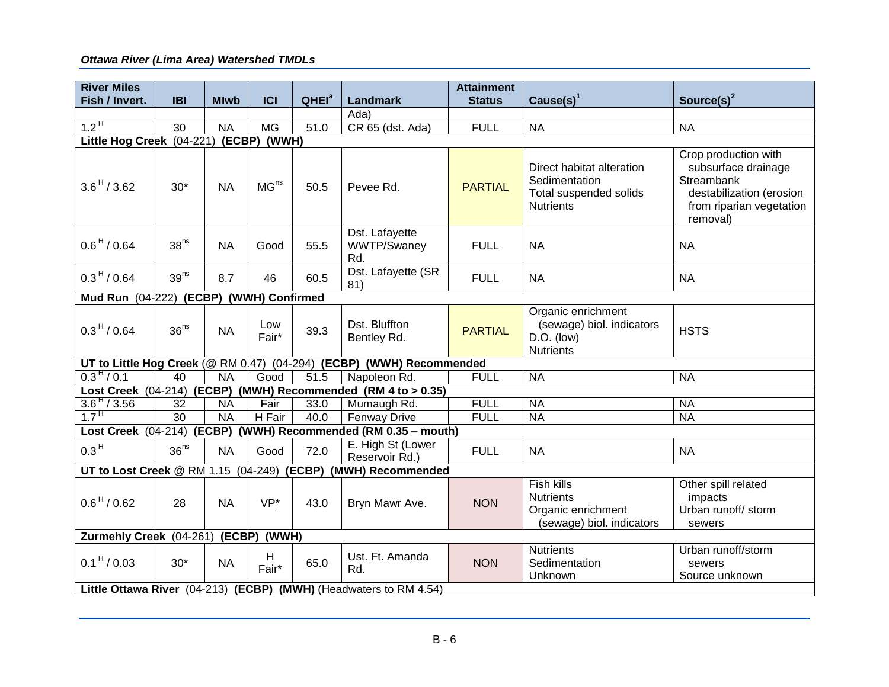| <b>River Miles</b><br>Fish / Invert.      |                  |                 | <b>ICI</b>       |                   |                                                                      | <b>Attainment</b> |                                                                                          |                                                                                                                               |
|-------------------------------------------|------------------|-----------------|------------------|-------------------|----------------------------------------------------------------------|-------------------|------------------------------------------------------------------------------------------|-------------------------------------------------------------------------------------------------------------------------------|
|                                           | <b>IBI</b>       | <b>Mlwb</b>     |                  | QHEI <sup>a</sup> | Landmark<br>Ada)                                                     | <b>Status</b>     | Cause $(s)^1$                                                                            | Source(s) $2$                                                                                                                 |
| $1.2^{\,H}$                               | 30               | <b>NA</b>       | <b>MG</b>        | 51.0              | CR 65 (dst. Ada)                                                     | <b>FULL</b>       | <b>NA</b>                                                                                | <b>NA</b>                                                                                                                     |
| (ECBP) (WWH)<br>Little Hog Creek (04-221) |                  |                 |                  |                   |                                                                      |                   |                                                                                          |                                                                                                                               |
| $3.6^{\,H}$ / 3.62                        | $30*$            | <b>NA</b>       | MG <sup>ns</sup> | 50.5              | Pevee Rd.                                                            | <b>PARTIAL</b>    | Direct habitat alteration<br>Sedimentation<br>Total suspended solids<br><b>Nutrients</b> | Crop production with<br>subsurface drainage<br>Streambank<br>destabilization (erosion<br>from riparian vegetation<br>removal) |
| $0.6^{\,H}$ / 0.64                        | 38 <sup>ns</sup> | <b>NA</b>       | Good             | 55.5              | Dst. Lafayette<br>WWTP/Swaney<br>Rd.                                 | <b>FULL</b>       | <b>NA</b>                                                                                | <b>NA</b>                                                                                                                     |
| $0.3^{\,H}$ / 0.64                        | 39 <sup>ns</sup> | 8.7             | 46               | 60.5              | Dst. Lafayette (SR<br>81)                                            | <b>FULL</b>       | <b>NA</b>                                                                                | <b>NA</b>                                                                                                                     |
| Mud Run (04-222) (ECBP) (WWH) Confirmed   |                  |                 |                  |                   |                                                                      |                   |                                                                                          |                                                                                                                               |
| $0.3^{\,H}$ / 0.64                        | 36 <sup>ns</sup> | <b>NA</b>       | Low<br>Fair*     | 39.3              | Dst. Bluffton<br>Bentley Rd.                                         | <b>PARTIAL</b>    | Organic enrichment<br>(sewage) biol. indicators<br>$D.O.$ (low)<br><b>Nutrients</b>      | <b>HSTS</b>                                                                                                                   |
|                                           |                  |                 |                  |                   | UT to Little Hog Creek (@ RM 0.47) (04-294) (ECBP) (WWH) Recommended |                   |                                                                                          |                                                                                                                               |
| $0.3^{\,H}$ / 0.1                         | 40               | <b>NA</b>       | Good             | 51.5              | Napoleon Rd.                                                         | <b>FULL</b>       | <b>NA</b>                                                                                | <b>NA</b>                                                                                                                     |
|                                           |                  |                 |                  |                   | Lost Creek (04-214) (ECBP) (MWH) Recommended (RM 4 to > 0.35)        |                   |                                                                                          |                                                                                                                               |
| $3.6$ <sup>H</sup> / 3.56                 | 32               | <b>NA</b>       | Fair             | 33.0              | Mumaugh Rd.                                                          | <b>FULL</b>       | <b>NA</b>                                                                                | <b>NA</b>                                                                                                                     |
| $1.7^{\,H}$                               | $\overline{30}$  | $\overline{NA}$ | H Fair           | 40.0              | <b>Fenway Drive</b>                                                  | <b>FULL</b>       | <b>NA</b>                                                                                | <b>NA</b>                                                                                                                     |
|                                           |                  |                 |                  |                   | Lost Creek (04-214) (ECBP) (WWH) Recommended (RM 0.35 - mouth)       |                   |                                                                                          |                                                                                                                               |
| 0.3 <sup>H</sup>                          | 36 <sup>ns</sup> | <b>NA</b>       | Good             | 72.0              | E. High St (Lower<br>Reservoir Rd.)                                  | <b>FULL</b>       | <b>NA</b>                                                                                | <b>NA</b>                                                                                                                     |
|                                           |                  |                 |                  |                   | UT to Lost Creek @ RM 1.15 (04-249) (ECBP) (MWH) Recommended         |                   |                                                                                          |                                                                                                                               |
| $0.6^{\,H}$ / 0.62                        | 28               | <b>NA</b>       | VP*              | 43.0              | Bryn Mawr Ave.                                                       | <b>NON</b>        | Fish kills<br><b>Nutrients</b><br>Organic enrichment<br>(sewage) biol. indicators        | Other spill related<br>impacts<br>Urban runoff/ storm<br>sewers                                                               |
| Zurmehly Creek (04-261) (ECBP) (WWH)      |                  |                 |                  |                   |                                                                      |                   |                                                                                          |                                                                                                                               |
| $0.1^{\,H}$ / 0.03                        | $30*$            | <b>NA</b>       | H<br>Fair*       | 65.0              | Ust. Ft. Amanda<br>Rd.                                               | <b>NON</b>        | <b>Nutrients</b><br>Sedimentation<br>Unknown                                             | Urban runoff/storm<br>sewers<br>Source unknown                                                                                |
|                                           |                  |                 |                  |                   | Little Ottawa River (04-213) (ECBP) (MWH) (Headwaters to RM 4.54)    |                   |                                                                                          |                                                                                                                               |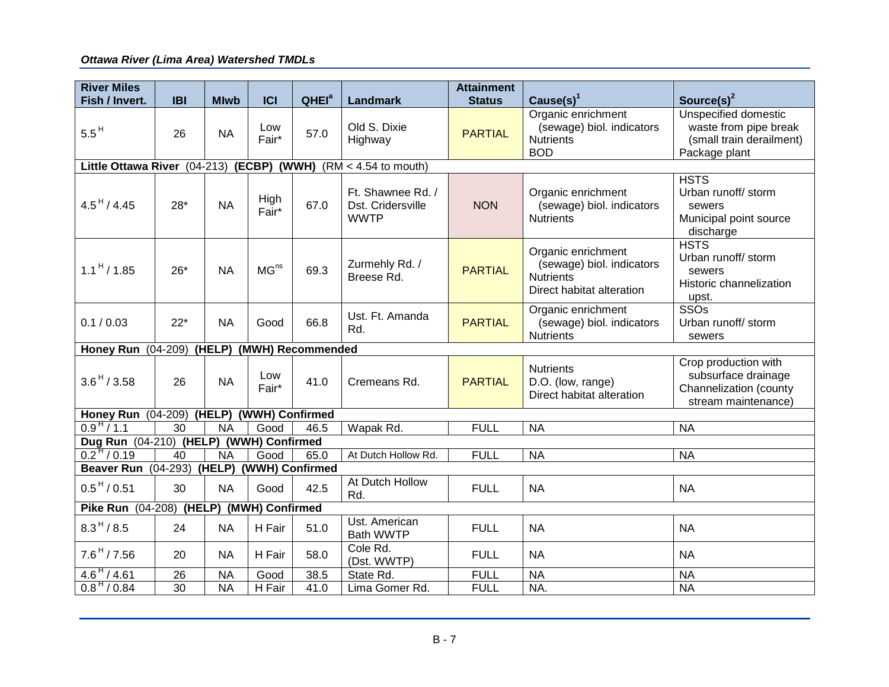| <b>River Miles</b><br>Fish / Invert.                                | <b>IBI</b> |             | <b>ICI</b>       | QHEI <sup>a</sup> |                                   | <b>Attainment</b> |                                                 |                                               |
|---------------------------------------------------------------------|------------|-------------|------------------|-------------------|-----------------------------------|-------------------|-------------------------------------------------|-----------------------------------------------|
|                                                                     |            | <b>Mlwb</b> |                  |                   | <b>Landmark</b>                   | <b>Status</b>     | Cause $(s)^1$                                   | Source(s) <sup>2</sup>                        |
|                                                                     |            |             | Low              |                   | Old S. Dixie                      |                   | Organic enrichment<br>(sewage) biol. indicators | Unspecified domestic<br>waste from pipe break |
| $5.5^{\,H}$                                                         | 26         | <b>NA</b>   | Fair*            | 57.0              | Highway                           | <b>PARTIAL</b>    | <b>Nutrients</b>                                | (small train derailment)                      |
|                                                                     |            |             |                  |                   |                                   |                   | <b>BOD</b>                                      | Package plant                                 |
| Little Ottawa River (04-213) (ECBP) (WWH)<br>$(RM < 4.54$ to mouth) |            |             |                  |                   |                                   |                   |                                                 |                                               |
|                                                                     |            |             |                  |                   |                                   |                   |                                                 | <b>HSTS</b>                                   |
|                                                                     |            |             |                  |                   | Ft. Shawnee Rd. /                 |                   | Organic enrichment                              | Urban runoff/ storm                           |
| $4.5^{\,H}$ / 4.45                                                  | $28*$      | <b>NA</b>   | High<br>Fair*    | 67.0              | Dst. Cridersville                 | <b>NON</b>        | (sewage) biol. indicators                       | sewers                                        |
|                                                                     |            |             |                  |                   | <b>WWTP</b>                       |                   | <b>Nutrients</b>                                | Municipal point source                        |
|                                                                     |            |             |                  |                   |                                   |                   |                                                 | discharge                                     |
|                                                                     |            |             |                  |                   |                                   |                   | Organic enrichment                              | <b>HSTS</b>                                   |
|                                                                     |            |             |                  |                   | Zurmehly Rd. /                    |                   | (sewage) biol. indicators                       | Urban runoff/ storm                           |
| $1.1^{\,H}$ / 1.85                                                  | $26*$      | <b>NA</b>   | MG <sup>ns</sup> | 69.3              | Breese Rd.                        | <b>PARTIAL</b>    | <b>Nutrients</b>                                | sewers                                        |
|                                                                     |            |             |                  |                   |                                   |                   | Direct habitat alteration                       | Historic channelization                       |
|                                                                     |            |             |                  |                   |                                   |                   | Organic enrichment                              | upst.<br>SSOs                                 |
| 0.1 / 0.03                                                          | $22*$      | <b>NA</b>   | Good             | 66.8              | Ust. Ft. Amanda                   | <b>PARTIAL</b>    | (sewage) biol. indicators                       | Urban runoff/ storm                           |
|                                                                     |            |             |                  |                   | Rd.                               |                   | <b>Nutrients</b>                                | sewers                                        |
| Honey Run (04-209) (HELP) (MWH) Recommended                         |            |             |                  |                   |                                   |                   |                                                 |                                               |
|                                                                     |            |             |                  |                   |                                   |                   |                                                 | Crop production with                          |
| $3.6^{\,H}$ / 3.58                                                  | 26         | <b>NA</b>   | Low<br>Fair*     | 41.0              | Cremeans Rd.                      | <b>PARTIAL</b>    | <b>Nutrients</b>                                | subsurface drainage                           |
|                                                                     |            |             |                  |                   |                                   |                   | D.O. (low, range)<br>Direct habitat alteration  | Channelization (county                        |
|                                                                     |            |             |                  |                   |                                   |                   |                                                 | stream maintenance)                           |
| Honey Run (04-209) (HELP) (WWH) Confirmed                           |            |             |                  |                   |                                   |                   |                                                 |                                               |
| $0.9^{\,H}$ / 1.1                                                   | 30         | <b>NA</b>   | Good             | 46.5              | Wapak Rd.                         | <b>FULL</b>       | <b>NA</b>                                       | <b>NA</b>                                     |
| Dug Run (04-210) (HELP) (WWH) Confirmed                             |            |             |                  |                   |                                   |                   |                                                 |                                               |
| $0.2^{\,H}$ / 0.19                                                  | 40         | <b>NA</b>   | Good             | 65.0              | At Dutch Hollow Rd.               | <b>FULL</b>       | <b>NA</b>                                       | <b>NA</b>                                     |
| <b>Beaver Run (04-293)</b>                                          |            | (HELP)      |                  | (WWH) Confirmed   |                                   |                   |                                                 |                                               |
| $0.5^{\,H}$ / 0.51                                                  | 30         | <b>NA</b>   | Good             | 42.5              | At Dutch Hollow<br>Rd.            | <b>FULL</b>       | <b>NA</b>                                       | <b>NA</b>                                     |
| Pike Run (04-208) (HELP) (MWH) Confirmed                            |            |             |                  |                   |                                   |                   |                                                 |                                               |
| $8.3^{H} / 8.5$                                                     | 24         | <b>NA</b>   | H Fair           | 51.0              | Ust. American<br><b>Bath WWTP</b> | <b>FULL</b>       | <b>NA</b>                                       | <b>NA</b>                                     |
| $7.6^{\,H}$ / $7.56$                                                | 20         | <b>NA</b>   | H Fair           | 58.0              | Cole Rd.<br>(Dst. WWTP)           | <b>FULL</b>       | <b>NA</b>                                       | <b>NA</b>                                     |
| $4.6^{\,H}$ / 4.61                                                  | 26         | <b>NA</b>   | Good             | 38.5              | State Rd.                         | <b>FULL</b>       | <b>NA</b>                                       | <b>NA</b>                                     |
| $0.8^{\,H}$ / 0.84                                                  | 30         | <b>NA</b>   | H Fair           | 41.0              | Lima Gomer Rd.                    | <b>FULL</b>       | NA.                                             | <b>NA</b>                                     |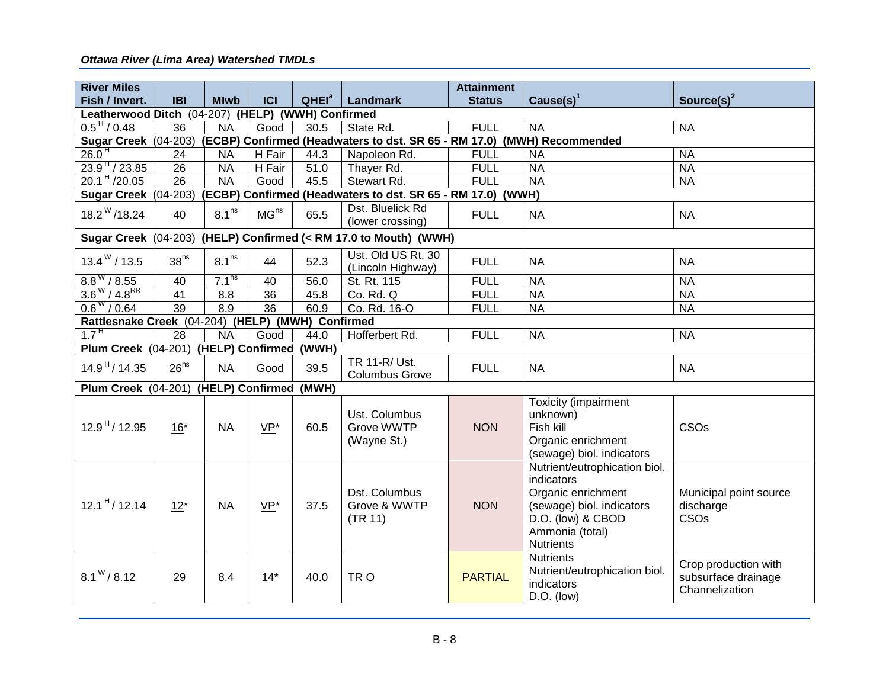| <b>River Miles</b>                                |                  |                                                                         |                  |                   |                                                                  | <b>Attainment</b>        |                                                                                                                                                            |                                                               |  |  |
|---------------------------------------------------|------------------|-------------------------------------------------------------------------|------------------|-------------------|------------------------------------------------------------------|--------------------------|------------------------------------------------------------------------------------------------------------------------------------------------------------|---------------------------------------------------------------|--|--|
| Fish / Invert.                                    | <b>IBI</b>       | <b>Mlwb</b>                                                             | <b>ICI</b>       | QHEI <sup>a</sup> | Landmark                                                         | <b>Status</b>            | $Cause(s)^1$                                                                                                                                               | Source(s) $2$                                                 |  |  |
| Leatherwood Ditch (04-207) (HELP) (WWH) Confirmed |                  |                                                                         |                  |                   |                                                                  |                          |                                                                                                                                                            |                                                               |  |  |
| $0.5^{\frac{1}{1}}$ / 0.48                        | 36               | <b>NA</b>                                                               | Good             | 30.5              | State Rd.                                                        | <b>FULL</b>              | <b>NA</b>                                                                                                                                                  | <b>NA</b>                                                     |  |  |
| Sugar Creek (04-203)                              |                  | (ECBP) Confirmed (Headwaters to dst. SR 65 - RM 17.0) (MWH) Recommended |                  |                   |                                                                  |                          |                                                                                                                                                            |                                                               |  |  |
| 26.0 <sup>H</sup>                                 | 24               | <b>NA</b>                                                               | H Fair           | 44.3              | Napoleon Rd.                                                     | <b>FULL</b>              | <b>NA</b>                                                                                                                                                  | <b>NA</b>                                                     |  |  |
| $23.9^{\,H}$ / 23.85                              | 26               | <b>NA</b>                                                               | H Fair           | 51.0              | Thayer Rd.                                                       | <b>FULL</b><br><b>NA</b> |                                                                                                                                                            | <b>NA</b>                                                     |  |  |
| $20.1H$ /20.05                                    | $\overline{26}$  | <b>NA</b>                                                               | Good             | 45.5              | Stewart Rd.                                                      | <b>FULL</b>              | <b>NA</b>                                                                                                                                                  | <b>NA</b>                                                     |  |  |
| Sugar Creek (04-203)                              |                  |                                                                         |                  |                   | (ECBP) Confirmed (Headwaters to dst. SR 65 - RM 17.0) (WWH)      |                          |                                                                                                                                                            |                                                               |  |  |
| $18.2^{\mathrm{W}}$ /18.24                        | 40               | 8.1 <sup>ns</sup>                                                       | MG <sup>ns</sup> | 65.5              | Dst. Bluelick Rd<br>(lower crossing)                             | <b>FULL</b>              | <b>NA</b>                                                                                                                                                  | <b>NA</b>                                                     |  |  |
|                                                   |                  |                                                                         |                  |                   | Sugar Creek (04-203) (HELP) Confirmed (< RM 17.0 to Mouth) (WWH) |                          |                                                                                                                                                            |                                                               |  |  |
| $13.4^{\mathrm{W}}$ / 13.5                        | 38 <sup>ns</sup> | 8.1 <sup>ns</sup>                                                       | 44               | 52.3              | Ust. Old US Rt. 30<br>(Lincoln Highway)                          | <b>FULL</b>              | <b>NA</b>                                                                                                                                                  | <b>NA</b>                                                     |  |  |
| $8.8^{\rm w}/8.55$                                | 40               | 7.1 <sup>ns</sup>                                                       | 40               | 56.0              | St. Rt. 115                                                      | <b>FULL</b>              | <b>NA</b>                                                                                                                                                  | <b>NA</b>                                                     |  |  |
| $3.6^{W}$ / $4.8^{RR}$                            | $\overline{41}$  | 8.8                                                                     | 36               | 45.8              | Co. Rd. Q                                                        | <b>FULL</b>              | <b>NA</b>                                                                                                                                                  | <b>NA</b>                                                     |  |  |
| $0.6^{\rm w}/0.64$                                | 39               | 8.9                                                                     | $\overline{36}$  | 60.9              | Co. Rd. 16-O                                                     | <b>FULL</b>              | <b>NA</b>                                                                                                                                                  | <b>NA</b>                                                     |  |  |
| Rattlesnake Creek (04-204) (HELP) (MWH) Confirmed |                  |                                                                         |                  |                   |                                                                  |                          |                                                                                                                                                            |                                                               |  |  |
| 1.7 <sup>H</sup>                                  | 28               | <b>NA</b>                                                               | Good             | 44.0              | Hofferbert Rd.                                                   | <b>FULL</b>              | <b>NA</b>                                                                                                                                                  | <b>NA</b>                                                     |  |  |
| Plum Creek (04-201) (HELP) Confirmed              |                  |                                                                         |                  | (WWH)             |                                                                  |                          |                                                                                                                                                            |                                                               |  |  |
| $14.9^{\,H}$ / 14.35                              | 26 <sup>ns</sup> | <b>NA</b>                                                               | Good             | 39.5              | <b>TR 11-R/Ust.</b><br><b>Columbus Grove</b>                     | <b>FULL</b>              | <b>NA</b>                                                                                                                                                  | <b>NA</b>                                                     |  |  |
| Plum Creek (04-201) (HELP) Confirmed              |                  |                                                                         |                  | (MWH)             |                                                                  |                          |                                                                                                                                                            |                                                               |  |  |
| $12.9H$ / 12.95                                   | $16*$            | <b>NA</b>                                                               | VP*              | 60.5              | Ust. Columbus<br>Grove WWTP<br>(Wayne St.)                       | <b>NON</b>               | Toxicity (impairment<br>unknown)<br>Fish kill<br>Organic enrichment<br>(sewage) biol. indicators                                                           | CSOs                                                          |  |  |
| $12.1^{H}$ / 12.14                                | $12*$            | <b>NA</b>                                                               | VP*              | 37.5              | Dst. Columbus<br>Grove & WWTP<br>(TR 11)                         | <b>NON</b>               | Nutrient/eutrophication biol.<br>indicators<br>Organic enrichment<br>(sewage) biol. indicators<br>D.O. (low) & CBOD<br>Ammonia (total)<br><b>Nutrients</b> | Municipal point source<br>discharge<br>CSO <sub>s</sub>       |  |  |
| $8.1^{\rm W}$ / 8.12                              | 29               | 8.4                                                                     | $14*$            | 40.0              | TR <sub>O</sub>                                                  | <b>PARTIAL</b>           | <b>Nutrients</b><br>Nutrient/eutrophication biol.<br>indicators<br>$D.O.$ (low)                                                                            | Crop production with<br>subsurface drainage<br>Channelization |  |  |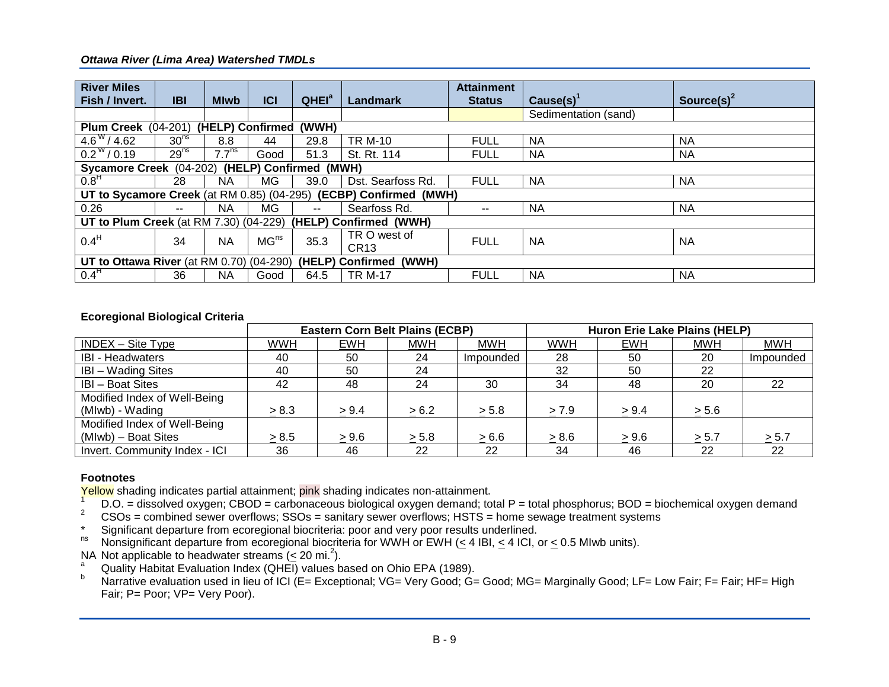| <b>River Miles</b>                                                           |                  |                   |                  |                   |                                                                   | <b>Attainment</b> |                      |                        |  |
|------------------------------------------------------------------------------|------------------|-------------------|------------------|-------------------|-------------------------------------------------------------------|-------------------|----------------------|------------------------|--|
| Fish / Invert.                                                               | <b>IBI</b>       | <b>Mlwb</b>       | <b>ICI</b>       | QHEI <sup>a</sup> | Landmark                                                          | <b>Status</b>     | $Cause(s)^{1}$       | Source(s) <sup>2</sup> |  |
|                                                                              |                  |                   |                  |                   |                                                                   |                   | Sedimentation (sand) |                        |  |
| (HELP) Confirmed<br><b>Plum Creek</b> (04-201)<br>(WWH)                      |                  |                   |                  |                   |                                                                   |                   |                      |                        |  |
| $4.6^{\rm w}/4.62$                                                           | 30 <sup>ns</sup> | 8.8               | 44               | 29.8              | <b>TR M-10</b>                                                    | <b>FULL</b>       | <b>NA</b>            | <b>NA</b>              |  |
| $0.2^{\rm w}/0.19$                                                           | 29 <sup>ns</sup> | 7.7 <sup>ns</sup> | Good             | 51.3              | St. Rt. 114                                                       | <b>FULL</b>       | <b>NA</b>            | <b>NA</b>              |  |
| (HELP) Confirmed (MWH)<br>Sycamore Creek (04-202)                            |                  |                   |                  |                   |                                                                   |                   |                      |                        |  |
| 0.8 <sup>H</sup>                                                             | 28               | <b>NA</b>         | MG.              | 39.0              | Dst. Searfoss Rd.                                                 | <b>FULL</b>       | <b>NA</b>            | <b>NA</b>              |  |
|                                                                              |                  |                   |                  |                   | UT to Sycamore Creek (at RM 0.85) (04-295) (ECBP) Confirmed (MWH) |                   |                      |                        |  |
| 0.26                                                                         | --               | <b>NA</b>         | <b>MG</b>        | $\sim$ $\sim$     | Searfoss Rd.                                                      | $\qquad \qquad -$ | <b>NA</b>            | <b>NA</b>              |  |
| <b>UT to Plum Creek</b> (at RM 7.30) (04-229)                                |                  |                   |                  |                   | (HELP) Confirmed (WWH)                                            |                   |                      |                        |  |
| 0.4 <sup>H</sup>                                                             | 34               | <b>NA</b>         | MG <sup>ns</sup> | 35.3              | TR O west of                                                      | <b>FULL</b>       | <b>NA</b>            | <b>NA</b>              |  |
|                                                                              |                  |                   |                  |                   | CR <sub>13</sub>                                                  |                   |                      |                        |  |
| <b>UT to Ottawa River</b> (at RM 0.70) (04-290)<br>(HELP)<br>Confirmed (WWH) |                  |                   |                  |                   |                                                                   |                   |                      |                        |  |
| 0.4 <sup>H</sup>                                                             | 36               | ΝA                | Good             | 64.5              | <b>TR M-17</b>                                                    | <b>FULL</b>       | <b>NA</b>            | <b>NA</b>              |  |

#### **Ecoregional Biological Criteria**

|                               |       | <b>Eastern Corn Belt Plains (ECBP)</b> |            |            | Huron Erie Lake Plains (HELP) |            |            |            |
|-------------------------------|-------|----------------------------------------|------------|------------|-------------------------------|------------|------------|------------|
| $INDEX - Site Type$           | WWH   | <b>EWH</b>                             | <b>MWH</b> | <b>MWH</b> | <b>WWH</b>                    | <b>EWH</b> | <b>MWH</b> | <b>MWH</b> |
| <b>IBI - Headwaters</b>       | 40    | 50                                     | 24         | Impounded  | 28                            | 50         | 20         | Impounded  |
| <b>IBI</b> - Wading Sites     | 40    | 50                                     | 24         |            | 32                            | 50         | 22         |            |
| <b>IBI</b> - Boat Sites       | 42    | 48                                     | 24         | 30         | 34                            | 48         | 20         | 22         |
| Modified Index of Well-Being  |       |                                        |            |            |                               |            |            |            |
| (Mlwb) - Wading               | > 8.3 | > 9.4                                  | > 6.2      | > 5.8      | > 7.9                         | > 9.4      | > 5.6      |            |
| Modified Index of Well-Being  |       |                                        |            |            |                               |            |            |            |
| (Mlwb) - Boat Sites           | > 8.5 | > 9.6                                  | > 5.8      | > 6.6      | > 8.6                         | > 9.6      | > 5.7      | $\ge 5.7$  |
| Invert. Community Index - ICI | 36    | 46                                     | 22         | 22         | 34                            | 46         | 22         | 22         |

### **Footnotes**

Yellow shading indicates partial attainment; pink shading indicates non-attainment.

- $\frac{1}{2}$  D.O. = dissolved oxygen; CBOD = carbonaceous biological oxygen demand; total P = total phosphorus; BOD = biochemical oxygen demand
- <sup>2</sup> CSOs = combined sewer overflows; SSOs = sanitary sewer overflows; HSTS = home sewage treatment systems
- \* Significant departure from ecoregional biocriteria: poor and very poor results underlined.<br><sup>ns</sup> Noncianificant departure from ecoregional biocriteria for MM/H or EMH (< 4 IBL < 4 ICL
- Nonsignificant departure from ecoregional biocriteria for WWH or EWH (< 4 IBI, < 4 ICI, or < 0.5 MIwb units).

NA Not applicable to headwater streams  $( $20 \text{ mi.}^2$ ).$ 

- <sup>a</sup> Quality Habitat Evaluation Index (QHEI) values based on Ohio EPA (1989).
- <sup>b</sup> Narrative evaluation used in lieu of ICI (E= Exceptional; VG= Very Good; G= Good; MG= Marginally Good; LF= Low Fair; F= Fair; HF= High Fair; P= Poor; VP= Very Poor).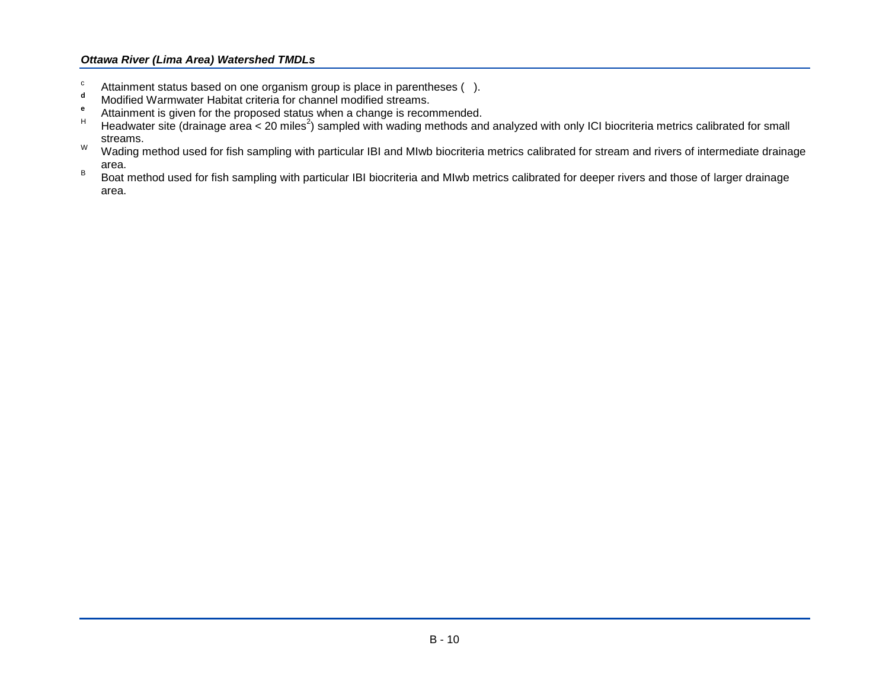- c Attainment status based on one organism group is place in parentheses ().
- **<sup>d</sup>** Modified Warmwater Habitat criteria for channel modified streams.
- **e** Attainment is given for the proposed status when a change is recommended.
- <sup>H</sup> Headwater site (drainage area < 20 miles<sup>2</sup>) sampled with wading methods and analyzed with only ICI biocriteria metrics calibrated for small streams.
- W ading method used for fish sampling with particular IBI and MIwb biocriteria metrics calibrated for stream and rivers of intermediate drainage area.
- B Boat method used for fish sampling with particular IBI biocriteria and MIwb metrics calibrated for deeper rivers and those of larger drainage area.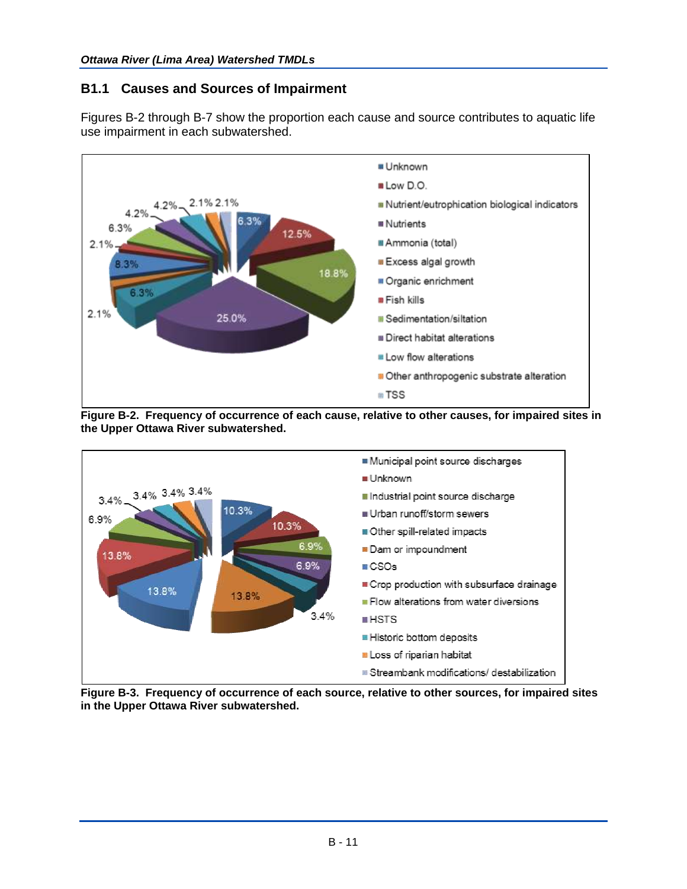# **B1.1 Causes and Sources of Impairment**

Figures B-2 through B-7 show the proportion each cause and source contributes to aquatic life use impairment in each subwatershed.



**Figure B-2. Frequency of occurrence of each cause, relative to other causes, for impaired sites in the Upper Ottawa River subwatershed.**



**Figure B-3. Frequency of occurrence of each source, relative to other sources, for impaired sites in the Upper Ottawa River subwatershed.**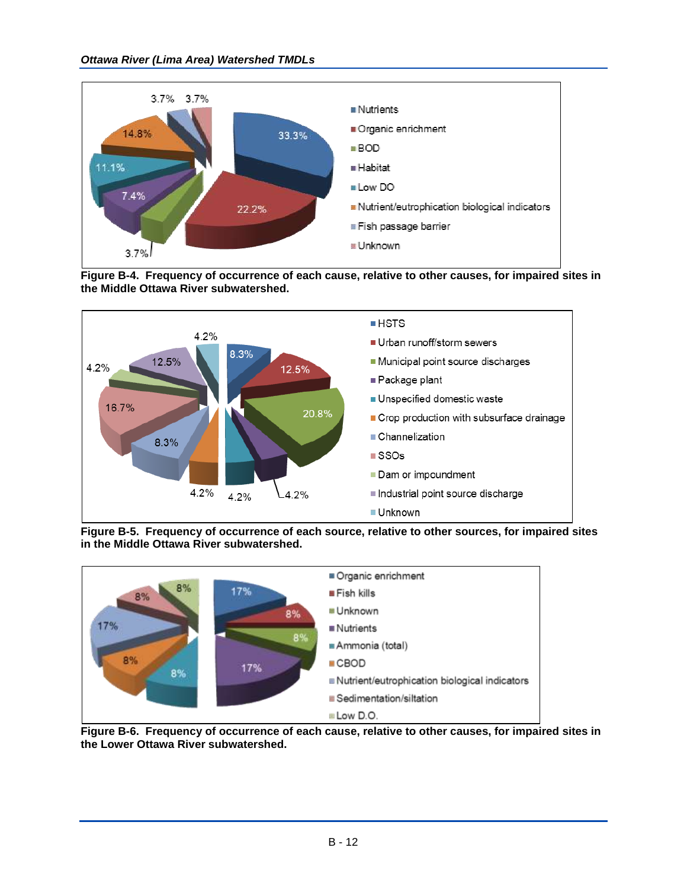

**Figure B-4. Frequency of occurrence of each cause, relative to other causes, for impaired sites in the Middle Ottawa River subwatershed.**



**Figure B-5. Frequency of occurrence of each source, relative to other sources, for impaired sites in the Middle Ottawa River subwatershed.**



**Figure B-6. Frequency of occurrence of each cause, relative to other causes, for impaired sites in the Lower Ottawa River subwatershed.**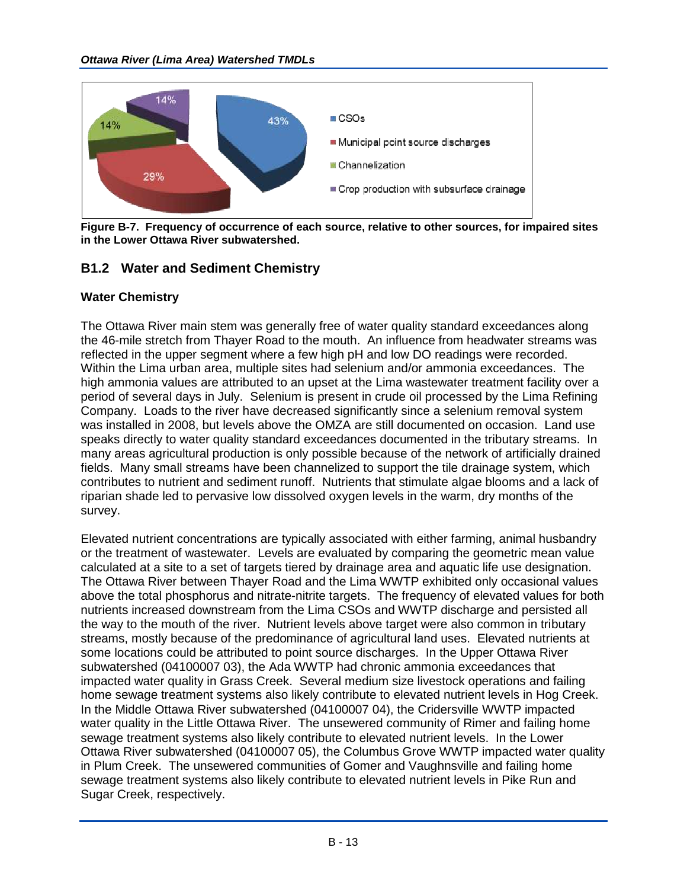

**Figure B-7. Frequency of occurrence of each source, relative to other sources, for impaired sites in the Lower Ottawa River subwatershed.**

# **B1.2 Water and Sediment Chemistry**

## **Water Chemistry**

The Ottawa River main stem was generally free of water quality standard exceedances along the 46-mile stretch from Thayer Road to the mouth. An influence from headwater streams was reflected in the upper segment where a few high pH and low DO readings were recorded. Within the Lima urban area, multiple sites had selenium and/or ammonia exceedances. The high ammonia values are attributed to an upset at the Lima wastewater treatment facility over a period of several days in July. Selenium is present in crude oil processed by the Lima Refining Company. Loads to the river have decreased significantly since a selenium removal system was installed in 2008, but levels above the OMZA are still documented on occasion. Land use speaks directly to water quality standard exceedances documented in the tributary streams. In many areas agricultural production is only possible because of the network of artificially drained fields. Many small streams have been channelized to support the tile drainage system, which contributes to nutrient and sediment runoff. Nutrients that stimulate algae blooms and a lack of riparian shade led to pervasive low dissolved oxygen levels in the warm, dry months of the survey.

Elevated nutrient concentrations are typically associated with either farming, animal husbandry or the treatment of wastewater. Levels are evaluated by comparing the geometric mean value calculated at a site to a set of targets tiered by drainage area and aquatic life use designation. The Ottawa River between Thayer Road and the Lima WWTP exhibited only occasional values above the total phosphorus and nitrate-nitrite targets. The frequency of elevated values for both nutrients increased downstream from the Lima CSOs and WWTP discharge and persisted all the way to the mouth of the river. Nutrient levels above target were also common in tributary streams, mostly because of the predominance of agricultural land uses. Elevated nutrients at some locations could be attributed to point source discharges. In the Upper Ottawa River subwatershed (04100007 03), the Ada WWTP had chronic ammonia exceedances that impacted water quality in Grass Creek. Several medium size livestock operations and failing home sewage treatment systems also likely contribute to elevated nutrient levels in Hog Creek. In the Middle Ottawa River subwatershed (04100007 04), the Cridersville WWTP impacted water quality in the Little Ottawa River. The unsewered community of Rimer and failing home sewage treatment systems also likely contribute to elevated nutrient levels. In the Lower Ottawa River subwatershed (04100007 05), the Columbus Grove WWTP impacted water quality in Plum Creek. The unsewered communities of Gomer and Vaughnsville and failing home sewage treatment systems also likely contribute to elevated nutrient levels in Pike Run and Sugar Creek, respectively.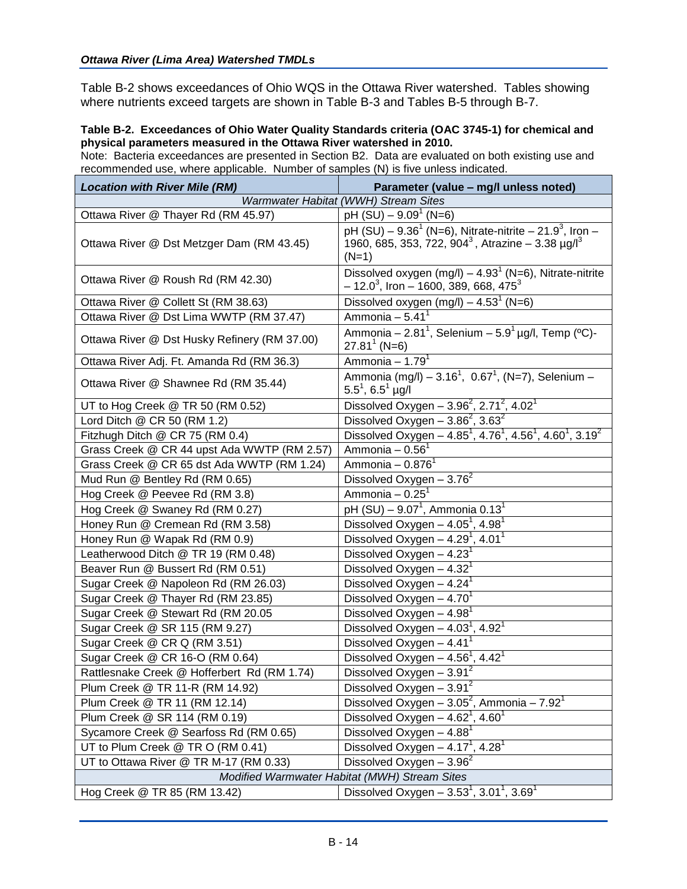Table B-2 shows exceedances of Ohio WQS in the Ottawa River watershed. Tables showing where nutrients exceed targets are shown in Table B-3 and Tables B-5 through B-7.

#### **Table B-2. Exceedances of Ohio Water Quality Standards criteria (OAC 3745-1) for chemical and physical parameters measured in the Ottawa River watershed in 2010.**

Note: Bacteria exceedances are presented in Section B2. Data are evaluated on both existing use and recommended use, where applicable. Number of samples (N) is five unless indicated.

| <b>Location with River Mile (RM)</b>         | Parameter (value - mg/l unless noted)                                                                                                                   |
|----------------------------------------------|---------------------------------------------------------------------------------------------------------------------------------------------------------|
|                                              | Warmwater Habitat (WWH) Stream Sites                                                                                                                    |
| Ottawa River @ Thayer Rd (RM 45.97)          | pH $(SU) - 9.091$ (N=6)                                                                                                                                 |
| Ottawa River @ Dst Metzger Dam (RM 43.45)    | pH $(SU) - 9.36^1$ (N=6), Nitrate-nitrite $- 21.9^3$ , Iron $-$<br>1960, 685, 353, 722, 904 <sup>3</sup> , Atrazine - 3.38 µg/l <sup>3</sup><br>$(N=1)$ |
| Ottawa River @ Roush Rd (RM 42.30)           | Dissolved oxygen (mg/l) $-$ 4.93 <sup>1</sup> (N=6), Nitrate-nitrite<br>$-12.0^{3}$ , Iron - 1600, 389, 668, 475 <sup>3</sup>                           |
| Ottawa River @ Collett St (RM 38.63)         | Dissolved oxygen $(mg/l) - 4.531$ (N=6)                                                                                                                 |
| Ottawa River @ Dst Lima WWTP (RM 37.47)      | Ammonia - $5.411$                                                                                                                                       |
| Ottawa River @ Dst Husky Refinery (RM 37.00) | Ammonia – 2.81 <sup>1</sup> , Selenium – 5.9 <sup>1</sup> µg/l, Temp (°C)-<br>$27.81^1$ (N=6)                                                           |
| Ottawa River Adj. Ft. Amanda Rd (RM 36.3)    | Ammonia – 1.79 $1$                                                                                                                                      |
| Ottawa River @ Shawnee Rd (RM 35.44)         | Ammonia (mg/l) - 3.16 <sup>1</sup> , 0.67 <sup>1</sup> , (N=7), Selenium -<br>$5.5^1$ , $6.5^1$ µg/l                                                    |
| UT to Hog Creek @ TR 50 (RM 0.52)            | Dissolved Oxygen - $3.96^2$ , $2.71^2$ , $4.02^1$                                                                                                       |
| Lord Ditch @ CR 50 (RM 1.2)                  | Dissolved Oxygen $-\overline{3.86}^2$ , $3.63^2$                                                                                                        |
| Fitzhugh Ditch @ CR 75 (RM 0.4)              | Dissolved Oxygen - $4.85^1$ , $4.76^1$ , $4.56^1$ , $4.60^1$ , $3.19^2$                                                                                 |
| Grass Creek @ CR 44 upst Ada WWTP (RM 2.57)  | Ammonia - $0.561$                                                                                                                                       |
| Grass Creek @ CR 65 dst Ada WWTP (RM 1.24)   | Ammonia - $0.8761$                                                                                                                                      |
| Mud Run @ Bentley Rd (RM 0.65)               | Dissolved Oxygen $-3.76^2$                                                                                                                              |
| Hog Creek @ Peevee Rd (RM 3.8)               | Ammonia - $0.251$                                                                                                                                       |
| Hog Creek @ Swaney Rd (RM 0.27)              | pH (SU) – 9.07 <sup>1</sup> , Ammonia 0.13 <sup>1</sup>                                                                                                 |
| Honey Run @ Cremean Rd (RM 3.58)             | Dissolved Oxygen $-4.05^7$ , 4.98 <sup>1</sup>                                                                                                          |
| Honey Run @ Wapak Rd (RM 0.9)                | Dissolved Oxygen $-$ 4.29 <sup>1</sup> , 4.01 <sup>1</sup>                                                                                              |
| Leatherwood Ditch @ TR 19 (RM 0.48)          | Dissolved Oxygen $-4.231$                                                                                                                               |
| Beaver Run @ Bussert Rd (RM 0.51)            | Dissolved Oxygen $-4.32$ <sup>1</sup>                                                                                                                   |
| Sugar Creek @ Napoleon Rd (RM 26.03)         | Dissolved Oxygen $-4.24$ <sup>1</sup>                                                                                                                   |
| Sugar Creek @ Thayer Rd (RM 23.85)           | Dissolved Oxygen $-4.701$                                                                                                                               |
| Sugar Creek @ Stewart Rd (RM 20.05           | Dissolved Oxygen $-4.98$ <sup>1</sup>                                                                                                                   |
| Sugar Creek @ SR 115 (RM 9.27)               | Dissolved Oxygen $-$ 4.03 <sup>1</sup> , 4.92 <sup>1</sup>                                                                                              |
| Sugar Creek @ CR Q (RM 3.51)                 | Dissolved Oxygen $-4.41$ <sup>1</sup>                                                                                                                   |
| Sugar Creek @ CR 16-O (RM 0.64)              | Dissolved Oxygen $-4.56^1$ , $4.42^1$                                                                                                                   |
| Rattlesnake Creek @ Hofferbert Rd (RM 1.74)  | Dissolved Oxygen $-3.91^2$                                                                                                                              |
| Plum Creek @ TR 11-R (RM 14.92)              | Dissolved Oxygen $-3.912$                                                                                                                               |
| Plum Creek @ TR 11 (RM 12.14)                | Dissolved Oxygen - $3.05^2$ , Ammonia - $7.92^1$                                                                                                        |
| Plum Creek @ SR 114 (RM 0.19)                | Dissolved Oxygen $-$ 4.62 <sup>1</sup> , 4.60 <sup>1</sup>                                                                                              |
| Sycamore Creek @ Searfoss Rd (RM 0.65)       | Dissolved Oxygen $-4.881$                                                                                                                               |
| UT to Plum Creek @ TR O (RM 0.41)            | Dissolved Oxygen $-4.17^{\degree}$ , 4.28 <sup><math>\degree</math></sup>                                                                               |
| UT to Ottawa River @ TR M-17 (RM 0.33)       | Dissolved Oxygen $-3.96^2$                                                                                                                              |
|                                              | Modified Warmwater Habitat (MWH) Stream Sites                                                                                                           |
| Hog Creek @ TR 85 (RM 13.42)                 | Dissolved Oxygen - $3.53^1$ , $3.01^1$ , $3.69^1$                                                                                                       |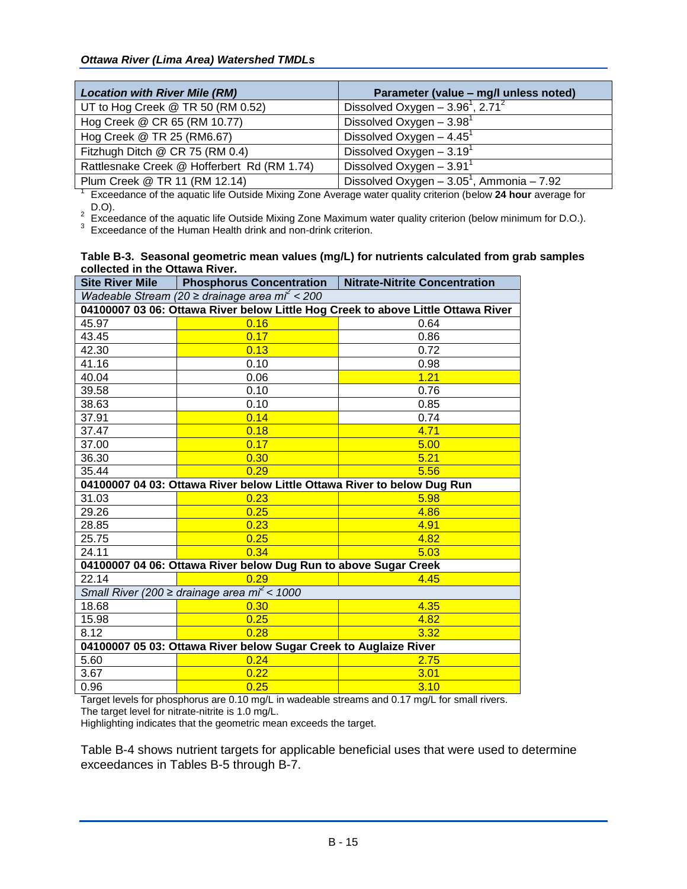| <b>Location with River Mile (RM)</b>        | Parameter (value - mg/l unless noted)                                                                         |  |  |  |  |  |  |
|---------------------------------------------|---------------------------------------------------------------------------------------------------------------|--|--|--|--|--|--|
| UT to Hog Creek @ TR 50 (RM 0.52)           | Dissolved Oxygen $-3.96^1$ , 2.71 <sup>2</sup>                                                                |  |  |  |  |  |  |
| Hog Creek @ CR 65 (RM 10.77)                | Dissolved Oxygen $-3.98$ <sup>1</sup>                                                                         |  |  |  |  |  |  |
| Hog Creek @ TR 25 (RM6.67)                  | Dissolved Oxygen $-4.45$ <sup>1</sup>                                                                         |  |  |  |  |  |  |
| Fitzhugh Ditch @ CR 75 (RM 0.4)             | Dissolved Oxygen $-3.191$                                                                                     |  |  |  |  |  |  |
| Rattlesnake Creek @ Hofferbert Rd (RM 1.74) | Dissolved Oxygen $-3.91$ <sup>1</sup>                                                                         |  |  |  |  |  |  |
| Plum Creek @ TR 11 (RM 12.14)               | Dissolved Oxygen $-3.05^1$ , Ammonia $-7.92$                                                                  |  |  |  |  |  |  |
|                                             | Exceedance of the aquatic life Outside Mixing Zone Average water quality criterion (below 24 hour average for |  |  |  |  |  |  |

D.O).

 $^2$  Exceedance of the aquatic life Outside Mixing Zone Maximum water quality criterion (below minimum for D.O.).<br><sup>3</sup> Exceedance of the Human Health drink and non-drink criterion.

| Table B-3. Seasonal geometric mean values (mg/L) for nutrients calculated from grab samples |  |
|---------------------------------------------------------------------------------------------|--|
| collected in the Ottawa River.                                                              |  |

| <b>Site River Mile</b>                                                           | <b>Phosphorus Concentration</b>                                         | <b>Nitrate-Nitrite Concentration</b> |  |  |  |
|----------------------------------------------------------------------------------|-------------------------------------------------------------------------|--------------------------------------|--|--|--|
| Wadeable Stream (20 $\geq$ drainage area mi <sup>2</sup> < 200                   |                                                                         |                                      |  |  |  |
| 04100007 03 06: Ottawa River below Little Hog Creek to above Little Ottawa River |                                                                         |                                      |  |  |  |
| 45.97                                                                            | 0.16                                                                    | 0.64                                 |  |  |  |
| 43.45                                                                            | 0.17                                                                    | 0.86                                 |  |  |  |
| 42.30                                                                            | 0.13                                                                    | 0.72                                 |  |  |  |
| 41.16                                                                            | 0.10                                                                    | 0.98                                 |  |  |  |
| 40.04                                                                            | 0.06                                                                    | 1.21                                 |  |  |  |
| 39.58                                                                            | 0.10                                                                    | 0.76                                 |  |  |  |
| 38.63                                                                            | 0.10                                                                    | 0.85                                 |  |  |  |
| 37.91                                                                            | 0.14                                                                    | 0.74                                 |  |  |  |
| 37.47                                                                            | 0.18                                                                    | 4.71                                 |  |  |  |
| 37.00                                                                            | 0.17                                                                    | 5.00                                 |  |  |  |
| 36.30                                                                            | 0.30                                                                    | 5.21                                 |  |  |  |
| 35.44                                                                            | 0.29                                                                    | 5.56                                 |  |  |  |
|                                                                                  | 04100007 04 03: Ottawa River below Little Ottawa River to below Dug Run |                                      |  |  |  |
| 31.03                                                                            | 0.23                                                                    | 5.98                                 |  |  |  |
| 29.26                                                                            | 0.25                                                                    | 4.86                                 |  |  |  |
| 28.85                                                                            | 0.23                                                                    | 4.91                                 |  |  |  |
| 25.75                                                                            | 0.25                                                                    | 4.82                                 |  |  |  |
| 24.11                                                                            | 0.34                                                                    | 5.03                                 |  |  |  |
|                                                                                  | 04100007 04 06: Ottawa River below Dug Run to above Sugar Creek         |                                      |  |  |  |
| 22.14                                                                            | 0.29                                                                    | 4.45                                 |  |  |  |
|                                                                                  | Small River (200 $\geq$ drainage area $m^2$ < 1000                      |                                      |  |  |  |
| 18.68                                                                            | 0.30                                                                    | 4.35                                 |  |  |  |
| 15.98                                                                            | 0.25                                                                    | 4.82                                 |  |  |  |
| 8.12                                                                             | 0.28                                                                    | 3.32                                 |  |  |  |
|                                                                                  | 04100007 05 03: Ottawa River below Sugar Creek to Auglaize River        |                                      |  |  |  |
| 5.60                                                                             | 0.24                                                                    | 2.75                                 |  |  |  |
| 3.67                                                                             | 0.22                                                                    | 3.01                                 |  |  |  |
| 0.96                                                                             | 0.25                                                                    | 3.10                                 |  |  |  |

Target levels for phosphorus are 0.10 mg/L in wadeable streams and 0.17 mg/L for small rivers. The target level for nitrate-nitrite is 1.0 mg/L.

Highlighting indicates that the geometric mean exceeds the target.

Table B-4 shows nutrient targets for applicable beneficial uses that were used to determine exceedances in Tables B-5 through B-7.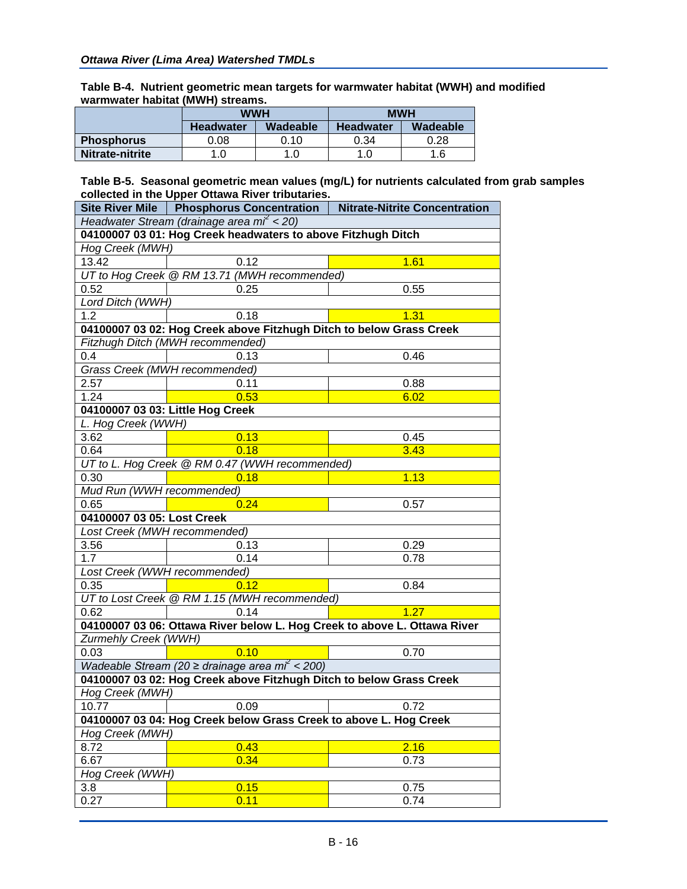**Table B-4. Nutrient geometric mean targets for warmwater habitat (WWH) and modified warmwater habitat (MWH) streams.**

|                   |                  | WWH      | <b>MWH</b>       |          |
|-------------------|------------------|----------|------------------|----------|
|                   | <b>Headwater</b> | Wadeable | <b>Headwater</b> | Wadeable |
| <b>Phosphorus</b> | 0.08             | 0.10     | 0.34             | 0.28     |
| Nitrate-nitrite   | 1.0              | 1.0      | 1.0              | 1.6      |

**Table B-5. Seasonal geometric mean values (mg/L) for nutrients calculated from grab samples collected in the Upper Ottawa River tributaries.**

|                                                                     | Site River Mile   Phosphorus Concentration                               | <b>Nitrate-Nitrite Concentration</b> |  |  |  |  |
|---------------------------------------------------------------------|--------------------------------------------------------------------------|--------------------------------------|--|--|--|--|
|                                                                     | Headwater Stream (drainage area m $\ell$ < 20)                           |                                      |  |  |  |  |
|                                                                     | 04100007 03 01: Hog Creek headwaters to above Fitzhugh Ditch             |                                      |  |  |  |  |
| Hog Creek (MWH)                                                     |                                                                          |                                      |  |  |  |  |
| 13.42                                                               | 0.12                                                                     | 1.61                                 |  |  |  |  |
|                                                                     | UT to Hog Creek @ RM 13.71 (MWH recommended)                             |                                      |  |  |  |  |
| 0.52                                                                | 0.25                                                                     | 0.55                                 |  |  |  |  |
| Lord Ditch (WWH)                                                    |                                                                          |                                      |  |  |  |  |
| 1.2                                                                 | 0.18                                                                     | 1.31                                 |  |  |  |  |
|                                                                     | 04100007 03 02: Hog Creek above Fitzhugh Ditch to below Grass Creek      |                                      |  |  |  |  |
|                                                                     | Fitzhugh Ditch (MWH recommended)                                         |                                      |  |  |  |  |
| 0.4                                                                 | 0.13                                                                     | 0.46                                 |  |  |  |  |
|                                                                     | Grass Creek (MWH recommended)                                            |                                      |  |  |  |  |
| 2.57                                                                | 0.11                                                                     | 0.88                                 |  |  |  |  |
| 1.24                                                                | 0.53                                                                     | 6.02                                 |  |  |  |  |
|                                                                     | 04100007 03 03: Little Hog Creek                                         |                                      |  |  |  |  |
| L. Hog Creek (WWH)                                                  |                                                                          |                                      |  |  |  |  |
| 3.62                                                                | 0.13                                                                     | 0.45                                 |  |  |  |  |
| 0.64                                                                | 0.18                                                                     | 3.43                                 |  |  |  |  |
|                                                                     | UT to L. Hog Creek @ RM 0.47 (WWH recommended)                           |                                      |  |  |  |  |
| 0.30                                                                | 0.18                                                                     | 1.13                                 |  |  |  |  |
| Mud Run (WWH recommended)                                           |                                                                          |                                      |  |  |  |  |
| 0.65                                                                | 0.24                                                                     | 0.57                                 |  |  |  |  |
| 04100007 03 05: Lost Creek                                          |                                                                          |                                      |  |  |  |  |
| Lost Creek (MWH recommended)                                        |                                                                          |                                      |  |  |  |  |
| 3.56                                                                | 0.13                                                                     | 0.29                                 |  |  |  |  |
| 1.7                                                                 | 0.14                                                                     | 0.78                                 |  |  |  |  |
| Lost Creek (WWH recommended)                                        |                                                                          |                                      |  |  |  |  |
| 0.35                                                                | 0.12                                                                     | 0.84                                 |  |  |  |  |
|                                                                     | UT to Lost Creek @ RM 1.15 (MWH recommended)                             |                                      |  |  |  |  |
| 0.62                                                                | 0.14                                                                     | 1.27                                 |  |  |  |  |
|                                                                     | 04100007 03 06: Ottawa River below L. Hog Creek to above L. Ottawa River |                                      |  |  |  |  |
| Zurmehly Creek (WWH)                                                |                                                                          |                                      |  |  |  |  |
| 0.03                                                                | 0.10                                                                     | 0.70                                 |  |  |  |  |
|                                                                     | Wadeable Stream (20 $\geq$ drainage area mi <sup>2</sup> < 200)          |                                      |  |  |  |  |
| 04100007 03 02: Hog Creek above Fitzhugh Ditch to below Grass Creek |                                                                          |                                      |  |  |  |  |
| Hog Creek (MWH)                                                     |                                                                          |                                      |  |  |  |  |
| 10.77                                                               | 0.09                                                                     | 0.72                                 |  |  |  |  |
| 04100007 03 04: Hog Creek below Grass Creek to above L. Hog Creek   |                                                                          |                                      |  |  |  |  |
| Hog Creek (MWH)                                                     |                                                                          |                                      |  |  |  |  |
| 8.72                                                                | 0.43                                                                     | 2.16                                 |  |  |  |  |
| 6.67                                                                | 0.34                                                                     | 0.73                                 |  |  |  |  |
| Hog Creek (WWH)                                                     |                                                                          |                                      |  |  |  |  |
| 3.8                                                                 | 0.15                                                                     | 0.75                                 |  |  |  |  |
| 0.27                                                                | 0.11                                                                     | 0.74                                 |  |  |  |  |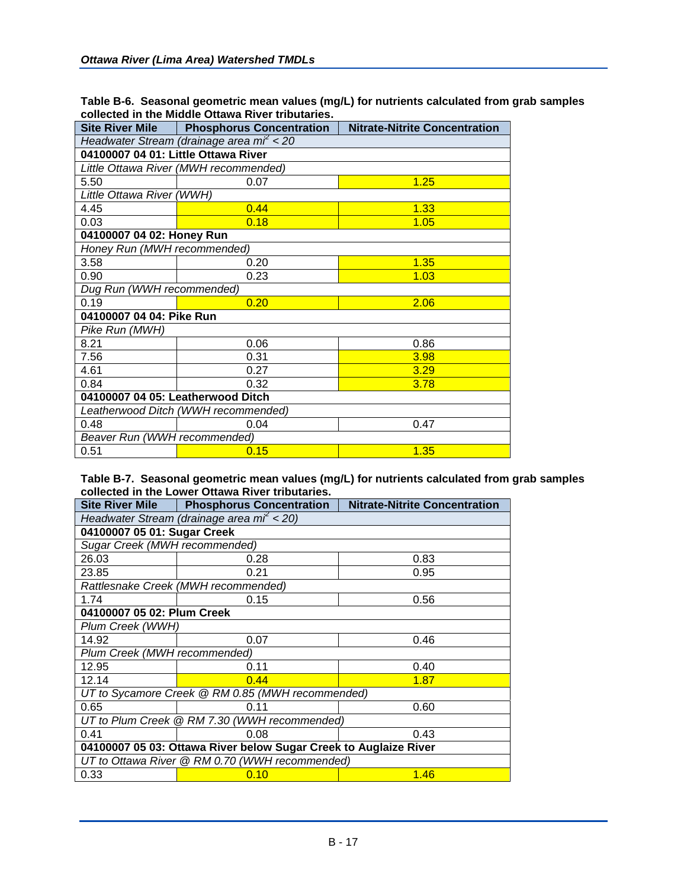| Site River Mile                         | <b>Phosphorus Concentration</b>       | <b>Nitrate-Nitrite Concentration</b> |  |  |  |
|-----------------------------------------|---------------------------------------|--------------------------------------|--|--|--|
| Headwater Stream (drainage area mi < 20 |                                       |                                      |  |  |  |
| 04100007 04 01: Little Ottawa River     |                                       |                                      |  |  |  |
|                                         | Little Ottawa River (MWH recommended) |                                      |  |  |  |
| 5.50                                    | 0.07                                  | 1.25                                 |  |  |  |
| Little Ottawa River (WWH)               |                                       |                                      |  |  |  |
| 4.45                                    | 0.44                                  | 1.33                                 |  |  |  |
| 0.03                                    | 0.18                                  | 1.05                                 |  |  |  |
| 04100007 04 02: Honey Run               |                                       |                                      |  |  |  |
| Honey Run (MWH recommended)             |                                       |                                      |  |  |  |
| 3.58                                    | 0.20                                  | 1.35                                 |  |  |  |
| 0.90                                    | 0.23<br>1.03                          |                                      |  |  |  |
| Dug Run (WWH recommended)               |                                       |                                      |  |  |  |
| 0.19                                    | 0.20                                  | 2.06                                 |  |  |  |
| 04100007 04 04: Pike Run                |                                       |                                      |  |  |  |
| Pike Run (MWH)                          |                                       |                                      |  |  |  |
| 8.21                                    | 0.06                                  | 0.86                                 |  |  |  |
| 7.56                                    | 0.31                                  | 3.98                                 |  |  |  |
| 4.61                                    | 0.27                                  | 3.29                                 |  |  |  |
| 0.84                                    | 0.32                                  | 3.78                                 |  |  |  |
| 04100007 04 05: Leatherwood Ditch       |                                       |                                      |  |  |  |
|                                         | Leatherwood Ditch (WWH recommended)   |                                      |  |  |  |
| 0.48                                    | 0.04                                  | 0.47                                 |  |  |  |
| Beaver Run (WWH recommended)            |                                       |                                      |  |  |  |
| 0.51                                    | 0.15                                  | 1.35                                 |  |  |  |

**Table B-6. Seasonal geometric mean values (mg/L) for nutrients calculated from grab samples collected in the Middle Ottawa River tributaries.**

#### **Table B-7. Seasonal geometric mean values (mg/L) for nutrients calculated from grab samples collected in the Lower Ottawa River tributaries.**

|                                                                  | Site River Mile   Phosphorus Concentration       | <b>Nitrate-Nitrite Concentration</b> |  |  |  |  |
|------------------------------------------------------------------|--------------------------------------------------|--------------------------------------|--|--|--|--|
|                                                                  | Headwater Stream (drainage area $m2 < 20$ )      |                                      |  |  |  |  |
| 04100007 05 01: Sugar Creek                                      |                                                  |                                      |  |  |  |  |
| Sugar Creek (MWH recommended)                                    |                                                  |                                      |  |  |  |  |
| 26.03                                                            | 0.28                                             | 0.83                                 |  |  |  |  |
| 23.85                                                            | 0.21                                             | 0.95                                 |  |  |  |  |
|                                                                  | Rattlesnake Creek (MWH recommended)              |                                      |  |  |  |  |
| 1.74                                                             | 0.15                                             | 0.56                                 |  |  |  |  |
| 04100007 05 02: Plum Creek                                       |                                                  |                                      |  |  |  |  |
| Plum Creek (WWH)                                                 |                                                  |                                      |  |  |  |  |
| 14.92                                                            | 0.07                                             | 0.46                                 |  |  |  |  |
| Plum Creek (MWH recommended)                                     |                                                  |                                      |  |  |  |  |
| 12.95                                                            | 0.11                                             | 0.40                                 |  |  |  |  |
| 12.14                                                            | 0.44                                             | 1.87                                 |  |  |  |  |
|                                                                  | UT to Sycamore Creek @ RM 0.85 (MWH recommended) |                                      |  |  |  |  |
| 0.65                                                             | 0.11                                             | 0.60                                 |  |  |  |  |
|                                                                  | UT to Plum Creek @ RM 7.30 (WWH recommended)     |                                      |  |  |  |  |
| 0.41                                                             | 0.08                                             | 0.43                                 |  |  |  |  |
| 04100007 05 03: Ottawa River below Sugar Creek to Auglaize River |                                                  |                                      |  |  |  |  |
|                                                                  | UT to Ottawa River @ RM 0.70 (WWH recommended)   |                                      |  |  |  |  |
| 0.33                                                             | 0.10                                             | 1.46                                 |  |  |  |  |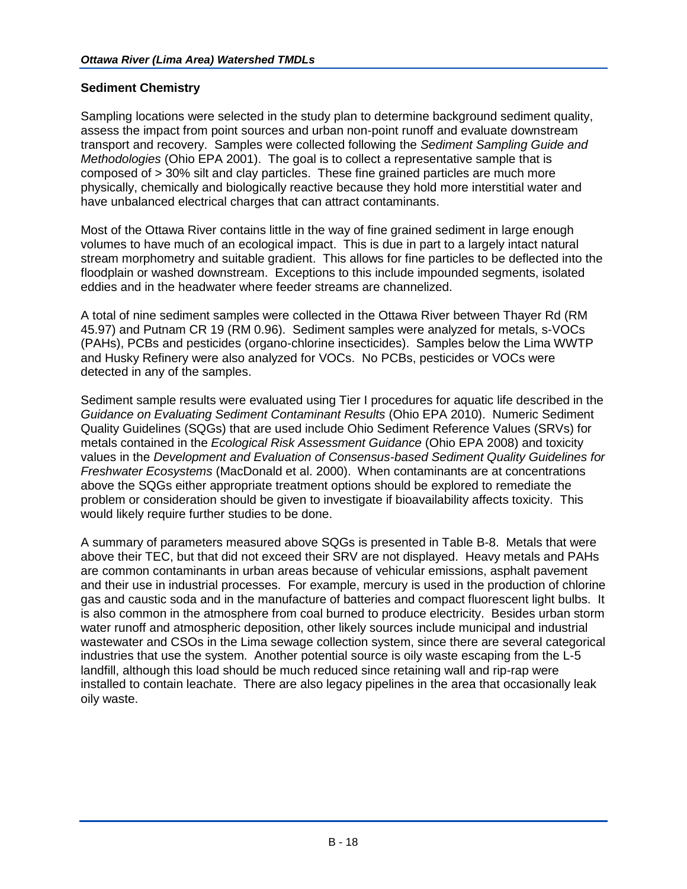## **Sediment Chemistry**

Sampling locations were selected in the study plan to determine background sediment quality, assess the impact from point sources and urban non-point runoff and evaluate downstream transport and recovery. Samples were collected following the *Sediment Sampling Guide and Methodologies* (Ohio EPA 2001). The goal is to collect a representative sample that is composed of > 30% silt and clay particles. These fine grained particles are much more physically, chemically and biologically reactive because they hold more interstitial water and have unbalanced electrical charges that can attract contaminants.

Most of the Ottawa River contains little in the way of fine grained sediment in large enough volumes to have much of an ecological impact. This is due in part to a largely intact natural stream morphometry and suitable gradient. This allows for fine particles to be deflected into the floodplain or washed downstream. Exceptions to this include impounded segments, isolated eddies and in the headwater where feeder streams are channelized.

A total of nine sediment samples were collected in the Ottawa River between Thayer Rd (RM 45.97) and Putnam CR 19 (RM 0.96). Sediment samples were analyzed for metals, s-VOCs (PAHs), PCBs and pesticides (organo-chlorine insecticides). Samples below the Lima WWTP and Husky Refinery were also analyzed for VOCs. No PCBs, pesticides or VOCs were detected in any of the samples.

Sediment sample results were evaluated using Tier I procedures for aquatic life described in the *Guidance on Evaluating Sediment Contaminant Results* (Ohio EPA 2010). Numeric Sediment Quality Guidelines (SQGs) that are used include Ohio Sediment Reference Values (SRVs) for metals contained in the *Ecological Risk Assessment Guidance* (Ohio EPA 2008) and toxicity values in the *Development and Evaluation of Consensus-based Sediment Quality Guidelines for Freshwater Ecosystems* (MacDonald et al. 2000). When contaminants are at concentrations above the SQGs either appropriate treatment options should be explored to remediate the problem or consideration should be given to investigate if bioavailability affects toxicity. This would likely require further studies to be done.

A summary of parameters measured above SQGs is presented in Table B-8. Metals that were above their TEC, but that did not exceed their SRV are not displayed. Heavy metals and PAHs are common contaminants in urban areas because of vehicular emissions, asphalt pavement and their use in industrial processes. For example, mercury is used in the production of chlorine gas and caustic soda and in the manufacture of batteries and compact fluorescent light bulbs. It is also common in the atmosphere from coal burned to produce electricity. Besides urban storm water runoff and atmospheric deposition, other likely sources include municipal and industrial wastewater and CSOs in the Lima sewage collection system, since there are several categorical industries that use the system. Another potential source is oily waste escaping from the L-5 landfill, although this load should be much reduced since retaining wall and rip-rap were installed to contain leachate. There are also legacy pipelines in the area that occasionally leak oily waste.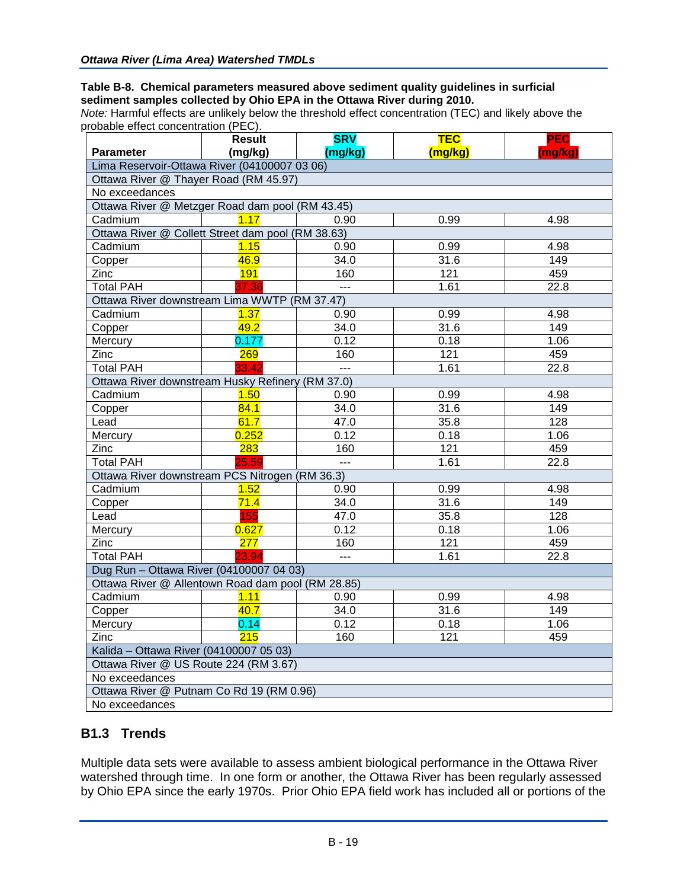#### **Table B-8. Chemical parameters measured above sediment quality guidelines in surficial sediment samples collected by Ohio EPA in the Ottawa River during 2010.**

*Note:* Harmful effects are unlikely below the threshold effect concentration (TEC) and likely above the probable effect concentration (PEC).

|                                                   | <b>Result</b>    | <b>SRV</b>     | <b>TEC</b> | <b>PEC</b> |  |  |
|---------------------------------------------------|------------------|----------------|------------|------------|--|--|
| <b>Parameter</b>                                  | (mg/kg)          | (mg/kg)        | (mg/kg)    | (mg/kg)    |  |  |
| Lima Reservoir-Ottawa River (04100007 03 06)      |                  |                |            |            |  |  |
| Ottawa River @ Thayer Road (RM 45.97)             |                  |                |            |            |  |  |
| No exceedances                                    |                  |                |            |            |  |  |
| Ottawa River @ Metzger Road dam pool (RM 43.45)   |                  |                |            |            |  |  |
| Cadmium                                           | 1.17             | 0.90           | 0.99       | 4.98       |  |  |
| Ottawa River @ Collett Street dam pool (RM 38.63) |                  |                |            |            |  |  |
| Cadmium                                           | 1.15             | 0.90           | 0.99       | 4.98       |  |  |
| Copper                                            | 46.9             | 34.0           | 31.6       | 149        |  |  |
| Zinc                                              | 191              | 160            | 121        | 459        |  |  |
| <b>Total PAH</b>                                  | 37.36            | $\overline{a}$ | 1.61       | 22.8       |  |  |
| Ottawa River downstream Lima WWTP (RM 37.47)      |                  |                |            |            |  |  |
| Cadmium                                           | 1.37             | 0.90           | 0.99       | 4.98       |  |  |
| Copper                                            | 49.2             | 34.0           | 31.6       | 149        |  |  |
| Mercury                                           | 0.177            | 0.12           | 0.18       | 1.06       |  |  |
| Zinc                                              | 269              | 160            | 121        | 459        |  |  |
| <b>Total PAH</b>                                  | 33.42            | $\overline{a}$ | 1.61       | 22.8       |  |  |
| Ottawa River downstream Husky Refinery (RM 37.0)  |                  |                |            |            |  |  |
| Cadmium                                           | 1.50             | 0.90           | 0.99       | 4.98       |  |  |
| Copper                                            | 84.1             | 34.0           | 31.6       | 149        |  |  |
| Lead                                              | 61.7             | 47.0           | 35.8       | 128        |  |  |
| Mercury                                           | 0.252            | 0.12           | 0.18       | 1.06       |  |  |
| $\overline{Z}$ inc                                | 283              | 160            | 121        | 459        |  |  |
| <b>Total PAH</b>                                  | 25.59            | $\sim$         | 1.61       | 22.8       |  |  |
| Ottawa River downstream PCS Nitrogen (RM 36.3)    |                  |                |            |            |  |  |
| Cadmium                                           | 1.52             | 0.90           | 0.99       | 4.98       |  |  |
| Copper                                            | 71.4             | 34.0           | 31.6       | 149        |  |  |
| Lead                                              | 155              | 47.0           | 35.8       | 128        |  |  |
| Mercury                                           | 0.627            | 0.12           | 0.18       | 1.06       |  |  |
| $\overline{Z}$ inc                                | 277              | 160            | 121        | 459        |  |  |
| <b>Total PAH</b>                                  | 23.94            | $\sim$         | 1.61       | 22.8       |  |  |
| Dug Run - Ottawa River (04100007 04 03)           |                  |                |            |            |  |  |
| Ottawa River @ Allentown Road dam pool (RM 28.85) |                  |                |            |            |  |  |
| Cadmium                                           | 1.11             | 0.90           | 0.99       | 4.98       |  |  |
| Copper                                            | 40.7             | 34.0           | 31.6       | 149        |  |  |
| Mercury                                           | 0.14             | 0.12           | 0.18       | 1.06       |  |  |
| Zinc                                              | $\overline{215}$ | 160            | 121        | 459        |  |  |
| Kalida - Ottawa River (04100007 05 03)            |                  |                |            |            |  |  |
| Ottawa River @ US Route 224 (RM 3.67)             |                  |                |            |            |  |  |
| No exceedances                                    |                  |                |            |            |  |  |
| Ottawa River @ Putnam Co Rd 19 (RM 0.96)          |                  |                |            |            |  |  |
| No exceedances                                    |                  |                |            |            |  |  |

# **B1.3 Trends**

Multiple data sets were available to assess ambient biological performance in the Ottawa River watershed through time. In one form or another, the Ottawa River has been regularly assessed by Ohio EPA since the early 1970s. Prior Ohio EPA field work has included all or portions of the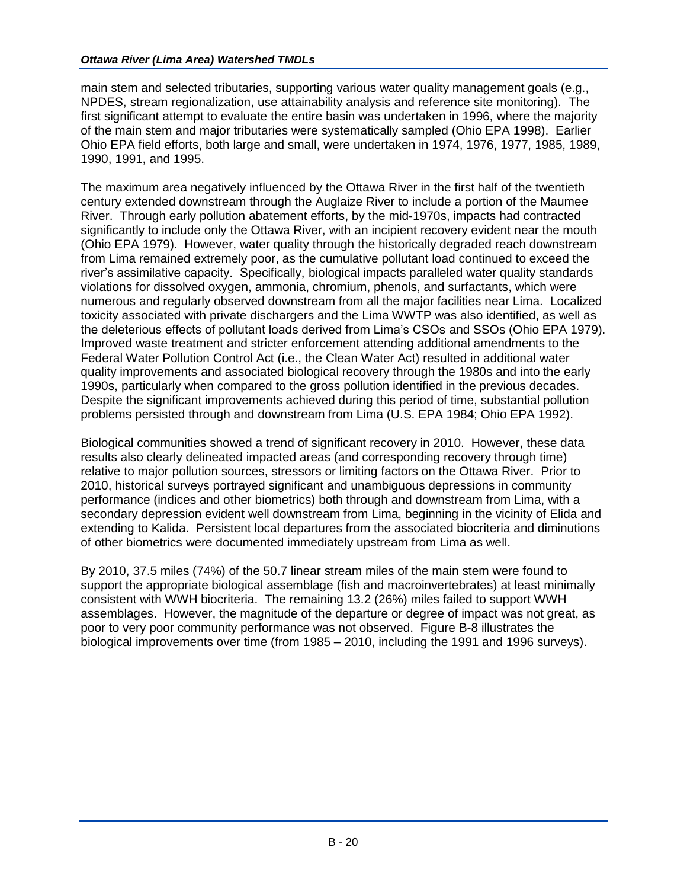main stem and selected tributaries, supporting various water quality management goals (e.g., NPDES, stream regionalization, use attainability analysis and reference site monitoring). The first significant attempt to evaluate the entire basin was undertaken in 1996, where the majority of the main stem and major tributaries were systematically sampled (Ohio EPA 1998). Earlier Ohio EPA field efforts, both large and small, were undertaken in 1974, 1976, 1977, 1985, 1989, 1990, 1991, and 1995.

The maximum area negatively influenced by the Ottawa River in the first half of the twentieth century extended downstream through the Auglaize River to include a portion of the Maumee River. Through early pollution abatement efforts, by the mid-1970s, impacts had contracted significantly to include only the Ottawa River, with an incipient recovery evident near the mouth (Ohio EPA 1979). However, water quality through the historically degraded reach downstream from Lima remained extremely poor, as the cumulative pollutant load continued to exceed the river's assimilative capacity. Specifically, biological impacts paralleled water quality standards violations for dissolved oxygen, ammonia, chromium, phenols, and surfactants, which were numerous and regularly observed downstream from all the major facilities near Lima. Localized toxicity associated with private dischargers and the Lima WWTP was also identified, as well as the deleterious effects of pollutant loads derived from Lima's CSOs and SSOs (Ohio EPA 1979). Improved waste treatment and stricter enforcement attending additional amendments to the Federal Water Pollution Control Act (i.e., the Clean Water Act) resulted in additional water quality improvements and associated biological recovery through the 1980s and into the early 1990s, particularly when compared to the gross pollution identified in the previous decades. Despite the significant improvements achieved during this period of time, substantial pollution problems persisted through and downstream from Lima (U.S. EPA 1984; Ohio EPA 1992).

Biological communities showed a trend of significant recovery in 2010. However, these data results also clearly delineated impacted areas (and corresponding recovery through time) relative to major pollution sources, stressors or limiting factors on the Ottawa River. Prior to 2010, historical surveys portrayed significant and unambiguous depressions in community performance (indices and other biometrics) both through and downstream from Lima, with a secondary depression evident well downstream from Lima, beginning in the vicinity of Elida and extending to Kalida. Persistent local departures from the associated biocriteria and diminutions of other biometrics were documented immediately upstream from Lima as well.

By 2010, 37.5 miles (74%) of the 50.7 linear stream miles of the main stem were found to support the appropriate biological assemblage (fish and macroinvertebrates) at least minimally consistent with WWH biocriteria. The remaining 13.2 (26%) miles failed to support WWH assemblages. However, the magnitude of the departure or degree of impact was not great, as poor to very poor community performance was not observed. Figure B-8 illustrates the biological improvements over time (from 1985 – 2010, including the 1991 and 1996 surveys).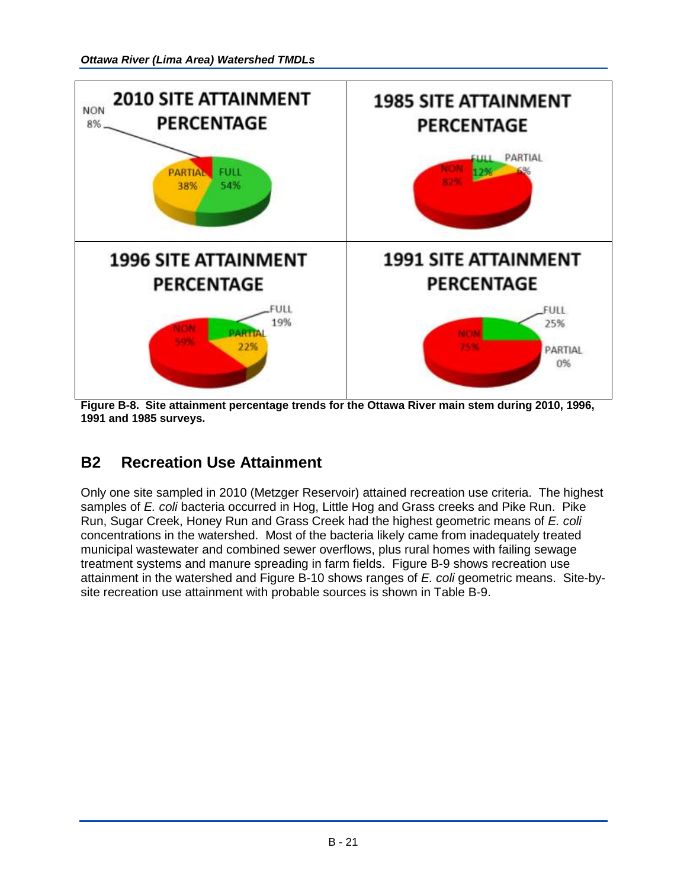

**Figure B-8. Site attainment percentage trends for the Ottawa River main stem during 2010, 1996, 1991 and 1985 surveys.**

# **B2 Recreation Use Attainment**

Only one site sampled in 2010 (Metzger Reservoir) attained recreation use criteria. The highest samples of *E. coli* bacteria occurred in Hog, Little Hog and Grass creeks and Pike Run. Pike Run, Sugar Creek, Honey Run and Grass Creek had the highest geometric means of *E. coli*  concentrations in the watershed. Most of the bacteria likely came from inadequately treated municipal wastewater and combined sewer overflows, plus rural homes with failing sewage treatment systems and manure spreading in farm fields. Figure B-9 shows recreation use attainment in the watershed and Figure B-10 shows ranges of *E. coli* geometric means. Site-bysite recreation use attainment with probable sources is shown in Table B-9.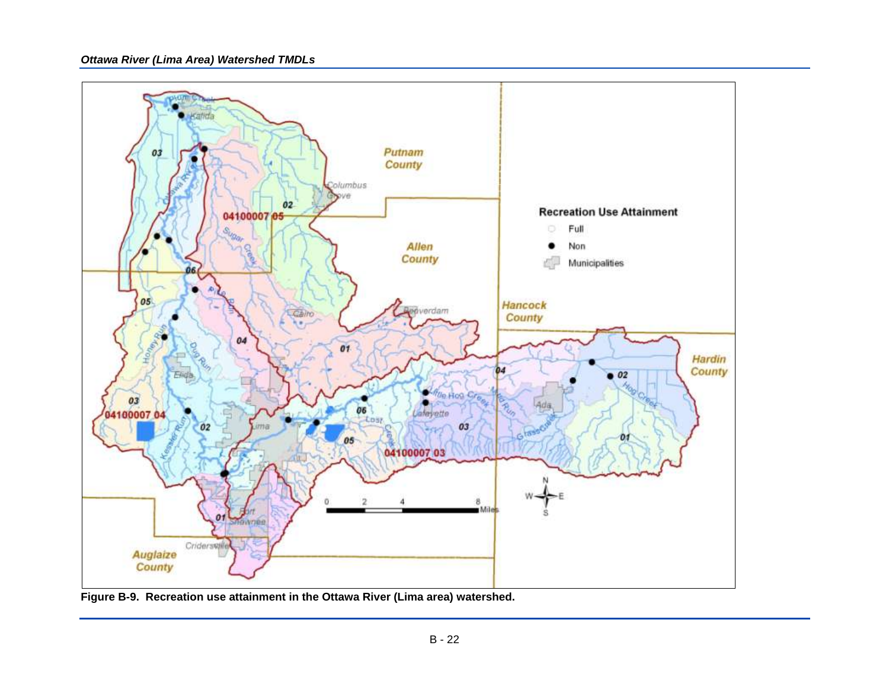

**Figure B-9. Recreation use attainment in the Ottawa River (Lima area) watershed.**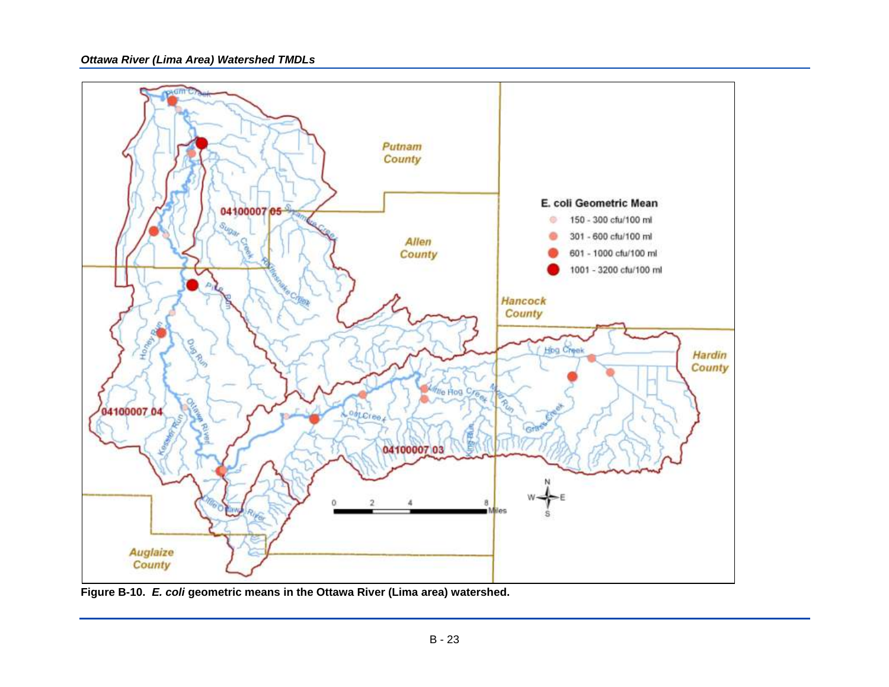

**Figure B-10.** *E. coli* **geometric means in the Ottawa River (Lima area) watershed.**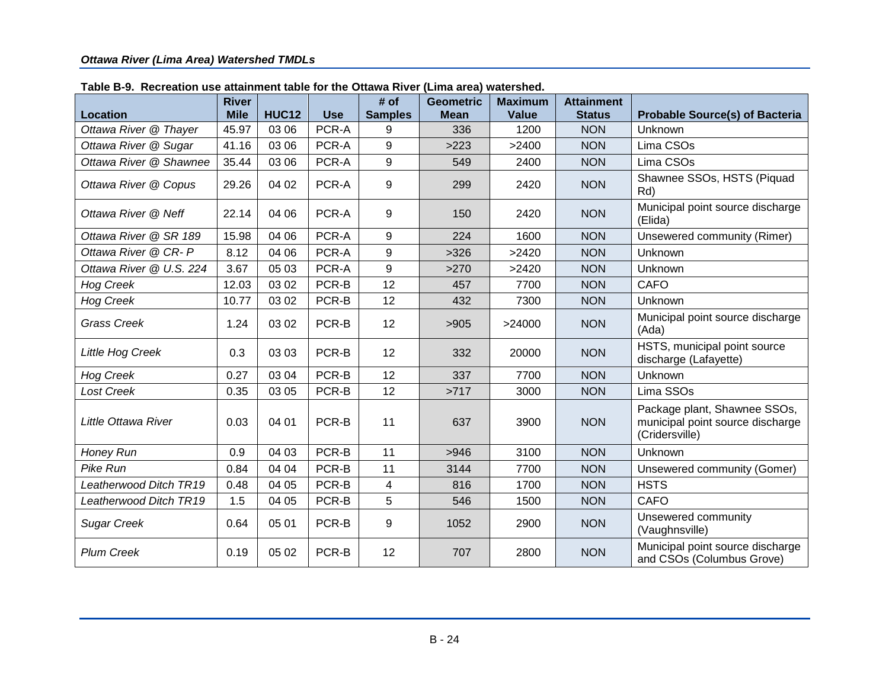| <b>Location</b>         | <b>River</b><br><b>Mile</b> | <b>HUC12</b> | <b>Use</b> | # of<br><b>Samples</b> | <b>Geometric</b><br><b>Mean</b> | <b>Maximum</b><br><b>Value</b> | <b>Attainment</b><br><b>Status</b> | <b>Probable Source(s) of Bacteria</b>                                              |
|-------------------------|-----------------------------|--------------|------------|------------------------|---------------------------------|--------------------------------|------------------------------------|------------------------------------------------------------------------------------|
| Ottawa River @ Thayer   | 45.97                       | 03 06        | PCR-A      | 9                      | 336                             | 1200                           | <b>NON</b>                         | Unknown                                                                            |
| Ottawa River @ Sugar    | 41.16                       | 03 06        | PCR-A      | 9                      | >223                            | >2400                          | <b>NON</b>                         | Lima CSOs                                                                          |
| Ottawa River @ Shawnee  | 35.44                       | 03 06        | PCR-A      | 9                      | 549                             | 2400                           | <b>NON</b>                         | Lima CSOs                                                                          |
| Ottawa River @ Copus    | 29.26                       | 04 02        | PCR-A      | 9                      | 299                             | 2420                           | <b>NON</b>                         | Shawnee SSOs, HSTS (Piquad<br>Rd)                                                  |
| Ottawa River @ Neff     | 22.14                       | 04 06        | PCR-A      | 9                      | 150                             | 2420                           | <b>NON</b>                         | Municipal point source discharge<br>(Elida)                                        |
| Ottawa River @ SR 189   | 15.98                       | 04 06        | PCR-A      | 9                      | 224                             | 1600                           | <b>NON</b>                         | Unsewered community (Rimer)                                                        |
| Ottawa River @ CR- P    | 8.12                        | 04 06        | PCR-A      | 9                      | >326                            | >2420                          | <b>NON</b>                         | Unknown                                                                            |
| Ottawa River @ U.S. 224 | 3.67                        | 05 03        | PCR-A      | 9                      | >270                            | >2420                          | <b>NON</b>                         | Unknown                                                                            |
| <b>Hog Creek</b>        | 12.03                       | 03 02        | PCR-B      | 12                     | 457                             | 7700                           | <b>NON</b>                         | <b>CAFO</b>                                                                        |
| <b>Hog Creek</b>        | 10.77                       | 03 02        | PCR-B      | 12                     | 432                             | 7300                           | <b>NON</b>                         | Unknown                                                                            |
| <b>Grass Creek</b>      | 1.24                        | 03 02        | PCR-B      | 12                     | >905                            | >24000                         | <b>NON</b>                         | Municipal point source discharge<br>(Ada)                                          |
| Little Hog Creek        | 0.3                         | 03 03        | PCR-B      | 12                     | 332                             | 20000                          | <b>NON</b>                         | HSTS, municipal point source<br>discharge (Lafayette)                              |
| <b>Hog Creek</b>        | 0.27                        | 03 04        | PCR-B      | 12                     | 337                             | 7700                           | <b>NON</b>                         | Unknown                                                                            |
| Lost Creek              | 0.35                        | 03 05        | PCR-B      | 12                     | >717                            | 3000                           | <b>NON</b>                         | Lima SSOs                                                                          |
| Little Ottawa River     | 0.03                        | 04 01        | PCR-B      | 11                     | 637                             | 3900                           | <b>NON</b>                         | Package plant, Shawnee SSOs,<br>municipal point source discharge<br>(Cridersville) |
| Honey Run               | 0.9                         | 04 03        | PCR-B      | 11                     | >946                            | 3100                           | <b>NON</b>                         | Unknown                                                                            |
| Pike Run                | 0.84                        | 04 04        | PCR-B      | 11                     | 3144                            | 7700                           | <b>NON</b>                         | Unsewered community (Gomer)                                                        |
| Leatherwood Ditch TR19  | 0.48                        | 04 05        | PCR-B      | 4                      | 816                             | 1700                           | <b>NON</b>                         | <b>HSTS</b>                                                                        |
| Leatherwood Ditch TR19  | 1.5                         | 04 05        | PCR-B      | 5                      | 546                             | 1500                           | <b>NON</b>                         | <b>CAFO</b>                                                                        |
| <b>Sugar Creek</b>      | 0.64                        | 05 01        | PCR-B      | 9                      | 1052                            | 2900                           | <b>NON</b>                         | Unsewered community<br>(Vaughnsville)                                              |
| <b>Plum Creek</b>       | 0.19                        | 05 02        | PCR-B      | 12                     | 707                             | 2800                           | <b>NON</b>                         | Municipal point source discharge<br>and CSOs (Columbus Grove)                      |

#### **Table B-9. Recreation use attainment table for the Ottawa River (Lima area) watershed.**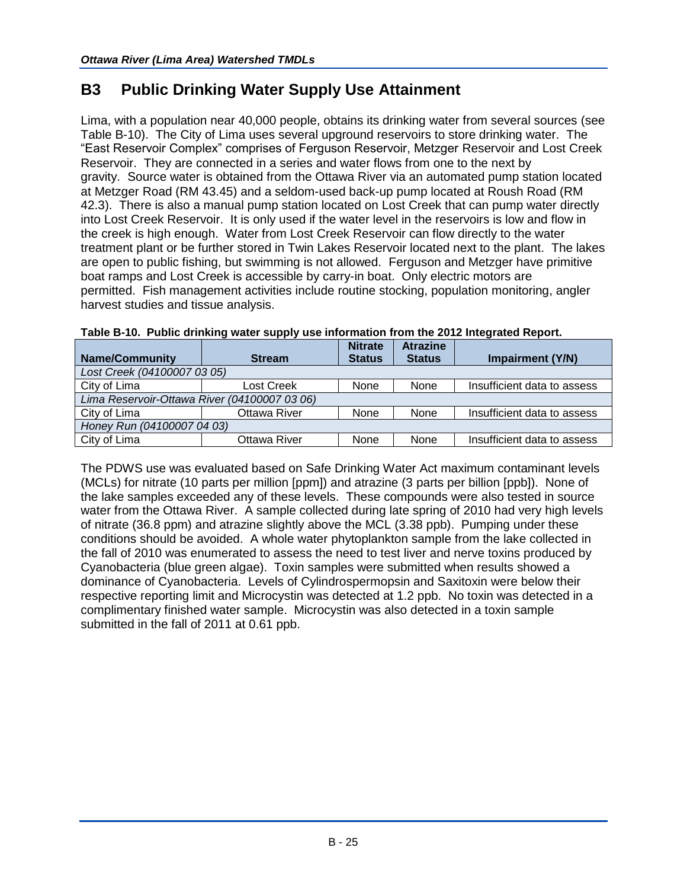# **B3 Public Drinking Water Supply Use Attainment**

Lima, with a population near 40,000 people, obtains its drinking water from several sources (see Table B-10). The City of Lima uses several upground reservoirs to store drinking water. The "East Reservoir Complex" comprises of Ferguson Reservoir, Metzger Reservoir and Lost Creek Reservoir. They are connected in a series and water flows from one to the next by gravity. Source water is obtained from the Ottawa River via an automated pump station located at Metzger Road (RM 43.45) and a seldom-used back-up pump located at Roush Road (RM 42.3). There is also a manual pump station located on Lost Creek that can pump water directly into Lost Creek Reservoir. It is only used if the water level in the reservoirs is low and flow in the creek is high enough. Water from Lost Creek Reservoir can flow directly to the water treatment plant or be further stored in Twin Lakes Reservoir located next to the plant. The lakes are open to public fishing, but swimming is not allowed. Ferguson and Metzger have primitive boat ramps and Lost Creek is accessible by carry-in boat. Only electric motors are permitted. Fish management activities include routine stocking, population monitoring, angler harvest studies and tissue analysis.

|                                              |               | <b>Nitrate</b> | <b>Atrazine</b> |                             |  |
|----------------------------------------------|---------------|----------------|-----------------|-----------------------------|--|
| <b>Name/Community</b>                        | <b>Stream</b> | <b>Status</b>  | <b>Status</b>   | Impairment (Y/N)            |  |
| Lost Creek (04100007 03 05)                  |               |                |                 |                             |  |
| City of Lima                                 | Lost Creek    | None           | None            | Insufficient data to assess |  |
| Lima Reservoir-Ottawa River (04100007 03 06) |               |                |                 |                             |  |
| City of Lima                                 | Ottawa River  | None           | None            | Insufficient data to assess |  |
| Honey Run (04100007 04 03)                   |               |                |                 |                             |  |
| City of Lima                                 | Ottawa River  | None           | None            | Insufficient data to assess |  |

## **Table B-10. Public drinking water supply use information from the 2012 Integrated Report.**

The PDWS use was evaluated based on Safe Drinking Water Act maximum contaminant levels (MCLs) for nitrate (10 parts per million [ppm]) and atrazine (3 parts per billion [ppb]). None of the lake samples exceeded any of these levels. These compounds were also tested in source water from the Ottawa River. A sample collected during late spring of 2010 had very high levels of nitrate (36.8 ppm) and atrazine slightly above the MCL (3.38 ppb). Pumping under these conditions should be avoided. A whole water phytoplankton sample from the lake collected in the fall of 2010 was enumerated to assess the need to test liver and nerve toxins produced by Cyanobacteria (blue green algae). Toxin samples were submitted when results showed a dominance of Cyanobacteria. Levels of Cylindrospermopsin and Saxitoxin were below their respective reporting limit and Microcystin was detected at 1.2 ppb. No toxin was detected in a complimentary finished water sample. Microcystin was also detected in a toxin sample submitted in the fall of 2011 at 0.61 ppb.